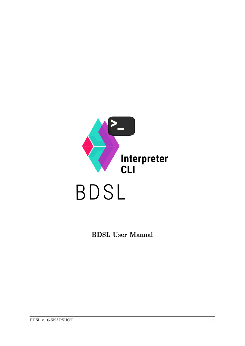

BDSL User Manual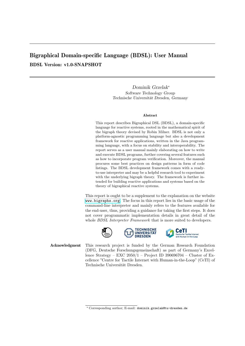# Bigraphical Domain-specific Language (BDSL): User Manual BDSL Version: v1.0-SNAPSHOT

Dominik Grzelak<sup>∗</sup> Software Technology Group Technische Universität Dresden, Germany

#### Abstract

This report describes Bigraphical DSL (BDSL), a domain-specific language for reactive systems, rooted in the mathematical spirit of the bigraph theory devised by Robin Milner. BDSL is not only a platform-agnostic programming language but also a development framework for reactive applications, written in the Java programming language, with a focus on stability and interoperability. The report serves as a user manual mainly elaborating on how to write and execute BDSL programs, further covering several features such as how to incorporate program verification. Moreover, the manual procures some best practices on design patterns in form of code listings. The BDSL development framework comes with a readyto-use interpreter and may be a helpful research tool to experiment with the underlying bigraph theory. The framework is further intended for building reactive applications and systems based on the theory of bigraphical reactive systems.

This report is ought to be a supplement to the explanation on the website <www.bigraphs.org>. The focus in this report lies in the basic usage of the command-line interpreter and mainly refers to the features available for the end-user, thus, providing a guidance for taking the first steps. It does not cover programmatic implementation details in great detail of the whole *BDSL Interpreter Framework* that is more suited to developers.





Acknowledgment This research project is funded by the German Research Foundation (DFG, Deutsche Forschungsgemeinschaft) as part of Germany's Excellence Strategy – EXC 2050/1 – Project ID 390696704 – Cluster of Excellence "Centre for Tactile Internet with Human-in-the-Loop" (CeTI) of Technische Universität Dresden.

<sup>∗</sup> Corresponding author; E-mail: dominik.grzelak@tu-dresden.de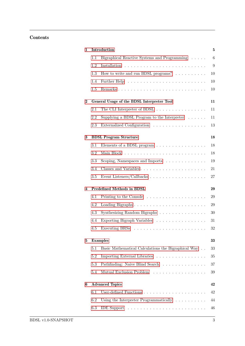## Contents

| $\mathbf{1}$ |         | Introduction                                                        | 5                |
|--------------|---------|---------------------------------------------------------------------|------------------|
|              | 1.1     | Bigraphical Reactive Systems and Programming                        | $\boldsymbol{6}$ |
|              | 1.2     |                                                                     | 9                |
|              | 1.3     | How to write and run BDSL programs? $\ldots \ldots \ldots$          | 10               |
|              | 1.4     |                                                                     | 10               |
|              | 1.5     |                                                                     | 10               |
| $\bf{2}$     |         | General Usage of the BDSL Interpreter Tool                          | 11               |
|              | 2.1     | The CLI Interpreter of BDSL                                         | 11               |
|              | 2.2     | Supplying a BDSL Program to the Interpreter $\dots \dots$           | 11               |
|              | 2.3     | Externalized Configuration                                          | 13               |
| 3            |         | <b>BDSL Program Structure</b>                                       | 18               |
|              | 3.1     | Elements of a BDSL program $\ldots \ldots \ldots \ldots \ldots$     | 18               |
|              | 3.2     |                                                                     | 18               |
|              | 3.3     | Scoping, Namespaces and Imports                                     | 19               |
|              | 3.4     |                                                                     | 21               |
|              | 3.5     | Event Listeners/Callbacks                                           | 27               |
| 4            |         | <b>Predefined Methods in BDSL</b>                                   | 29               |
|              | 4.1     | Printing to the Console $\ldots \ldots \ldots \ldots \ldots \ldots$ | 29               |
|              | 4.2     |                                                                     | 29               |
|              | 4.3     | Synthesizing Random Bigraphs                                        | 30               |
|              | 4.4     | Exporting Bigraph Variables                                         | 31               |
|              | 4.5     |                                                                     | 32               |
| 5            |         | <b>Examples</b>                                                     | 33               |
|              | 5.1     | Basic Mathematical Calculations the Bigraphical Way                 | 33               |
|              | 5.2     | Importing External Libraries                                        | 35               |
|              | 5.3     | Pathfinding: Naive Blind Search                                     | 37               |
|              | $5.4\,$ | Mutual Exclusion Problem                                            | 39               |
| 6            |         | <b>Advanced Topics</b>                                              | 42               |
|              | 6.1     |                                                                     | 42               |
|              | 6.2     | Using the Interpreter Programmatically $\ldots \ldots \ldots$       | 44               |
|              | 6.3     |                                                                     | 46               |
|              |         |                                                                     |                  |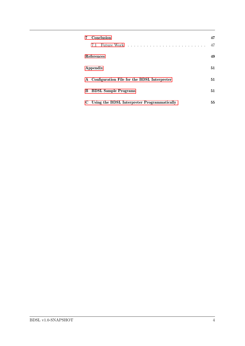|    | Conclusion                                                                                                                                                                                                                           |    |
|----|--------------------------------------------------------------------------------------------------------------------------------------------------------------------------------------------------------------------------------------|----|
|    | Future Work research research research Future Work research research research research research research research research research research research research research research research research research research research<br>7.1 | 47 |
|    | <b>References</b>                                                                                                                                                                                                                    | 49 |
|    | Appendix                                                                                                                                                                                                                             | 51 |
|    | A Configuration File for the BDSL Interpreter                                                                                                                                                                                        | 51 |
| B. | <b>BDSL Sample Programs</b>                                                                                                                                                                                                          | 51 |
| C  | Using the BDSL Interpreter Programmatically                                                                                                                                                                                          | 55 |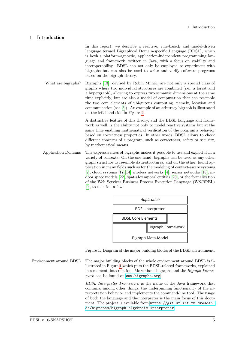### 1 Introduction

<span id="page-4-0"></span>In this report, we describe a reactive, rule-based, and model-driven language termed Bigraphical Domain-specific Language (BDSL), which is both a platform-agnostic, application-independent programming language and framework, written in Java, with a focus on stability and interoperability. BDSL can not only be employed to experiment with bigraphs but can also be used to write and verify software programs based on the bigraph theory.

What are bigraphs? Bigraphs [\[13\]](#page-48-1), devised by Robin Milner, are not only a special class of graphs where two individual structures are combined (i.e., a forest and a hypergraph), allowing to express two semantic dimensions at the same time explicitly, but are also a model of computation that can resemble the two core elements of ubiquitous computing, namely, location and communication (see [\[3\]](#page-48-2)). An example of an arbitrary bigraph is illustrated on the left-hand side in Figure [2.](#page-6-0)

> A distinctive feature of this theory, and the BDSL language and framework as well, is the ability not only to model reactive systems but at the same time enabling mathematical verification of the program's behavior based on correctness properties. In other words, BDSL allows to check different concerns of a program, such as correctness, safety or security, by mathematical means.

Application Domains The expressiveness of bigraphs makes it possible to use and exploit it in a variety of contexts. On the one hand, bigraphs can be used as any other graph structure to resemble data-structures, and on the other, found application in many fields such as for the modeling of context-aware systems [\[2\]](#page-48-3), cloud systems [\[17,](#page-49-0) [14\]](#page-48-4) wireless networks [\[4\]](#page-48-5), sensor networks [\[18\]](#page-49-1), indoor space models [\[22\]](#page-49-2), spatial-temporal entities [\[20\]](#page-49-3), or the formalization of the Web Services Business Process Execution Language (WS-BPEL) [\[9\]](#page-48-6), to mention a few.

<span id="page-4-1"></span>

Figure 1: Diagram of the major building blocks of the BDSL environment.

Environment around BDSL The major building blocks of the whole environment around BDSL is illustrated in Figure [1](#page-4-1) which puts the BDSL-related frameworks, explained in a moment, into relation. More about bigraphs and the *Bigraph Frame*work can be found on  $www.bigraphs.org$ .

> BDSL Interpreter Framework is the name of the Java framework that contains, among other things, the underpinning functionality of the interpretation behavior and implements the command-line tool. The usage of both the language and the interpreter is the main focus of this document. The project is available from [https://git-st.inf.tu-dresden.](https://git-st.inf.tu-dresden.de/bigraphs/bigraph-algebraic-interpreter) [de/bigraphs/bigraph-algebraic-interpreter](https://git-st.inf.tu-dresden.de/bigraphs/bigraph-algebraic-interpreter).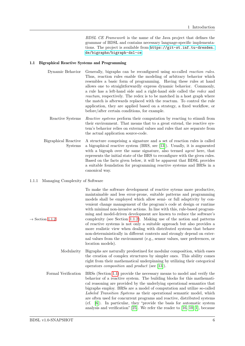<span id="page-5-0"></span>BDSL CE Framework is the name of the Java project that defines the grammar of BDSL and contains necessary language-specific implementations. The project is available from [https://git-st.inf.tu-dresden.](https://git-st.inf.tu-dresden.de/bigraphs/bigraph-dsl-ce) [de/bigraphs/bigraph-dsl-ce](https://git-st.inf.tu-dresden.de/bigraphs/bigraph-dsl-ce).

#### 1.1 Bigraphical Reactive Systems and Programming

- Dynamic Behavior Generally, bigraphs can be reconfigured using so-called *reaction rules*. Thus, reaction rules enable the modeling of arbitrary behavior which resembles a basic form of programming. Having these rules at hand allows one to straightforwardly express dynamic behavior. Commonly, a rule has a left-hand side and a right-hand side called the redex and reactum, respectively. The redex is to be matched in a host graph where the match is afterwards replaced with the reactum. To control the rule application, they are applied based on a strategy, a fixed workflow, or before/after certain conditions, for example.
- Reactive Systems Reactive systems perform their computation by reacting to stimuli from their environment. That means that to a great extend, the reactive system's behavior relies on external values and rules that are separate from the actual application source-code.
- Bigraphical Reactive A structure comprising a signature and a set of reaction rules is called Systems a bigraphical reactive system (BRS, see [\[13\]](#page-48-1)). Usually, it is augmented with a bigraph over the same signature, also termed *agent* here, that represents the initial state of the BRS to reconfigure with the given rules. Based on the facts given below, it will be apparent that BDSL provides a suitable foundation for programming reactive systems and BRSs in a canonical way.

#### 1.1.1 Managing Complexity of Software

To make the software development of reactive sytems more productive, maintainable and less error-prone, suitable patterns and programming models shall be employed which allow semi- or full adaptivity by convenient change management of the program's code at design or runtime with minimal non-invasive actions. In line with this, rule-based programming and model-driven development are known to reduce the software's  $\rightarrow$  Section [1.1.2](#page-6-1) complexity (see Section [1.1.2\)](#page-6-1). Making use of the notion and patterns of reactive systems is not only a suitable approach but also provides a more realistic view when dealing with distributed systems that behave non-deterministically in different contexts and strongly depend on external values from the environment (e.g., sensor values, user preferences, or location models).

- Modularity Bigraphs are naturally predestined for modular composition, which eases the creation of complex structures by simpler ones. This ability comes right from their mathematical underpinning by utilizing their categorical operators composition and product (see [\[13\]](#page-48-1)).
- Formal Verification BRSs (Section [1.1\)](#page-5-0) provide the necessary means to model and verify the behavior of a reactive system. The building blocks for this mathematical reasoning are provided by the underlying operational semantics that bigraphs employ. BRSs are a model of computation and utilize so-called Labeled Transition Systems as their operational semantic model, which are often used for concurrent programs and reactive, distributed systems (cf. [\[6\]](#page-48-7)). In particular, they "provide the basis for automatic system analysis and verification" [\[25\]](#page-49-4). We refer the reader to [\[16,](#page-48-8) [10,](#page-48-9) [1\]](#page-48-10), because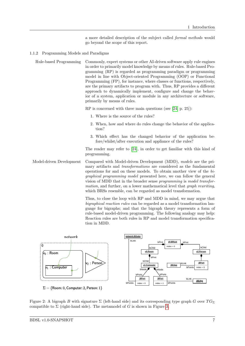<span id="page-6-1"></span>a more detailed description of the subject called formal methods would go beyond the scope of this report.

#### 1.1.2 Programming Models and Paradigms

Rule-based Programming Commonly, expert systems or other AI-driven software apply rule engines in order to primarily model knowledge by means of rules. Rule-based Programming (RP) is regarded as programming paradigm or programming model in line with Object-oriented Programming (OOP) or Functional Programming (FP), for instance, where classes or functions, respectively, are the primary artifacts to program with. Thus, RP provides a different approach to dynamically implement, configure and change the behavior of a system, application or module in any architecture or software, primarily by means of rules.

RP is concerned with three main questions (see [\[24,](#page-49-5) p. 25]):

- 1. Where is the source of the rules?
- 2. When, how and where do rules change the behavior of the application?
- 3. Which effect has the changed behavior of the application before/whilst/after execution and appliance of the rules?

The reader may refer to [\[24\]](#page-49-5), in order to get familiar with this kind of programming.

Model-driven Development Compared with Model-driven Development (MDD), models are the primary artifacts and transformations are considered as the fundamental operations for and on these models. To obtain another view of the bigraphical programming model presented here, we can follow the general vision of MDD that in the broader sense programming is model transformation, and further, on a lower mathematical level that *graph rewriting*, which BRSs resemble, can be regarded as model transformation.

> <span id="page-6-0"></span>Thus, to close the loop with RP and MDD in mind, we may argue that bigraphical reaction rules can be regarded as a model transformation language for bigraphs; and that the bigraph theory represents a form of rule-based model-driven programming. The following analogy may help: Reaction rules are both rules in RP and model transformation specification in MDD.



Figure 2: A bigraph B with signature  $\Sigma$  (left-hand side) and its corresponding type graph G over  $TG_{\Sigma}$ compatible to  $\Sigma$  (right-hand side). The metamodel of G is shown in Figure [3.](#page-7-0)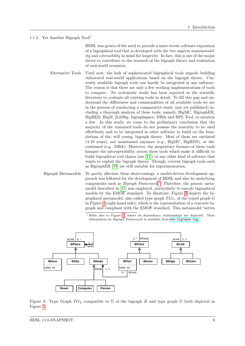#### 1.1.3 Yet Another Bigraph Tool?

<span id="page-7-2"></span>BDSL was grown of the need to provide a more recent software exposition of a bigraphical tool that is developed with the two aspects maintainability and extensibility in mind for longevity. In fact, this is one of the major driver to contribute to the research of the bigraph theory and evaluation of real-world scenarios.

- Alternative Tools Until now, the lack of sophisticated bigraphical tools impede building elaborated real-world applications based on the bigraph theory. Currently available bigraph tools can hardly be integrated in any software. The reason is that there are only a few working implementations of tools to compare. No systematic study has been reported in the scientific literature to evaluate all existing tools in detail. To fill this gap and understand the differences and commonalities of all available tools we are in the process of conducting a comparative study (not yet published) including a thorough analysis of these tools, namely, BigMC, BigraphER, BigRED, BigM, jLibBig, bigraphspace, DBtk and BPL Tool, to mention a few. In this study, we come to the preliminary conclusion that the majority of the examined tools do not possess the maturity to be used effortlessly and to be integrated in other software to build on the foundations of the, still young, bigraph theory. Most of them are outdated (4-10 years), not maintained anymore (e.g., BigMC, BigRED), or discontinued (e.g., DBtk). Moreover, the proprietary formats of these tools hamper the interoperability across these tools which make it difficult to build bigraphical tool chains (see [\[11\]](#page-48-11)) or any other kind of software that wants to exploit the bigraph theory. Though, current bigraph tools such as BigraphER [\[19\]](#page-49-6) are still suitable for experimentation.
- Bigraph Metamodels To partly alleviate these shortcomings, a model-driven development approach was followed for the development of BDSL and also its underlying components such as *Bigraph Framework*<sup>[1](#page-7-1)</sup>. Therefore, the generic metamodel described in [\[11\]](#page-48-11) was employed, particularly to encode bigraphical models by the EMOF standard. To illustrate, Figure [3](#page-7-0) depicts the bigraphical metamodel, also called type graph  $TG_{\Sigma}$ , of the typed graph G in Figure [2](#page-6-0) (right-hand side), which is the representation of a concrete bigraph and compliant with the EMOF standard. This metamodel "serves

<span id="page-7-1"></span><span id="page-7-0"></span><sup>1</sup> Refer also to Figure [1,](#page-4-1) where its dependency relationships are depicted. More information on *Bigraph Framework* is available from <www.bigraphs.org>.



Figure 3: Type Graph  $TG_{\Sigma}$  compatible to  $\Sigma$  of the bigraph *B* and type graph *G* both depicted in Figure [2.](#page-6-0)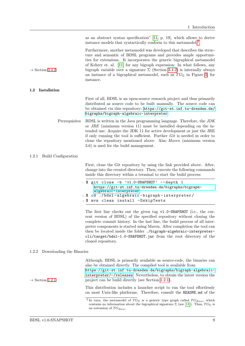as an abstract syntax specification" [\[11,](#page-48-11) p. 19], which allows to derive instance models that syntactically conform to this metamodel.[2](#page-8-1)

Furthermore, another metamodel was developed that describes the structure and semantic of BDSL programs and provides ample opportunities for extensions. It incorporates the generic bigraphical metamodel of Kehrer et. al. [\[11\]](#page-48-11) for any bigraph expression: In what follows, any  $\rightarrow$  Section [3.4.2](#page-21-0) bigraph variable over a signature  $\Sigma$  (Section [3.4.2\)](#page-21-0) is internally always an instance of a bigraphical metamodel, such as  $TG_\Sigma$  in Figure [3,](#page-7-0) for instance.

#### 1.2 Installation

<span id="page-8-0"></span>First of all, BDSL is an open-source research project and thus primarily distributed as source code to be built manually. The source code can be obtained via this repository: [https://git-st.inf.tu-dresden.de/](https://git-st.inf.tu-dresden.de/bigraphs/bigraph-algebraic-interpreter) [bigraphs/bigraph-algebraic-interpreter](https://git-st.inf.tu-dresden.de/bigraphs/bigraph-algebraic-interpreter).

Prerequisites BDSL is written in the Java programming language. Therefore, the JDK or JRE (minimum version 11) must be installed depending on the intended use: Acquire the JDK 11 for active development or just the JRE if only running the tool is sufficient. Further Git is needed in order to clone the repository mentioned above. Also Maven (minimum version 3.6) is used for the build management.

#### 1.2.1 Build Configuration

<span id="page-8-2"></span>First, clone the Git repository by using the link provided above. After, change into the created directory. Then, execute the following commands inside this directory within a terminal to start the build process:

```
1 $ git clone -b 'v1.0-SNAPSHOT' --depth 1
     https://git-st.inf.tu-dresden.de/bigraphs/bigraph-
     algebraic-interpreter
2 $ cd ./ bdsl - algebraic - bigraph - interpreter /
 3 $ mvn clean install - DskipTests
```
The first line checks out the given tag v1.0-SNAPSHOT (i.e., the current version of BDSL) of the specified repository without cloning the complete commit history. In the last line, the build process of all interpreter components is started using Maven. After completion the tool can then be located inside the folder ./bigraph-algebraic-interpretercli/target/bdsl-1.0-SNAPSHOT.jar from the root directory of the cloned repository.

#### 1.2.2 Downloading the Binaries

<span id="page-8-3"></span>Although, BDSL is primarily available as source-code, the binaries can also be obtained directly. The compiled tool is available from

[https://git-st.inf.tu-dresden.de/bigraphs/bigraph-algebraic](https://git-st.inf.tu-dresden.de/bigraphs/bigraph-algebraic-interpreter/-/releases)[interpreter/-/releases](https://git-st.inf.tu-dresden.de/bigraphs/bigraph-algebraic-interpreter/-/releases). Nevertheless, to obtain the latest version the  $\rightarrow$  Section [1.2.1](#page-8-2) project can be build directly (see Section [1.2.1\)](#page-8-2).

> This distribution includes a launcher script to run the tool effortlessly on most Unix-like platforms. Therefore, consult the README.md of the

<span id="page-8-1"></span><sup>&</sup>lt;sup>2</sup> In turn, the metamodel of  $TG_\Sigma$  is a generic type graph called  $TG_{Base}$ , which contains no information about the bigraphical signature  $\Sigma$  (see [\[11\]](#page-48-11)). Thus,  $TG_{\Sigma}$  is an extension of  $TG_{Base}$ .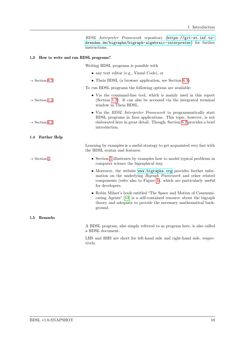<span id="page-9-2"></span><span id="page-9-1"></span><span id="page-9-0"></span>

|                                         | BDSL Interpreter Framework repository (https://git-st.inf.tu-<br>dresden.de/bigraphs/bigraph-algebraic-interpreter) for further<br>instructions.                                                                                 |
|-----------------------------------------|----------------------------------------------------------------------------------------------------------------------------------------------------------------------------------------------------------------------------------|
| 1.3 How to write and run BDSL programs? |                                                                                                                                                                                                                                  |
|                                         | Writing BDSL programs is possible with                                                                                                                                                                                           |
|                                         | $\bullet$ any text editor (e.g., Visual Code), or                                                                                                                                                                                |
| $\rightarrow$ Section 6.3               | • Theia BDSL (a browser application, see Section 6.3).                                                                                                                                                                           |
|                                         | To run BDSL programs the following options are available:                                                                                                                                                                        |
| $\rightarrow$ Section 1.2               | • Via the command-line tool, which is mainly used in this report<br>(Section 1.2). It can also be accessed via the integrated terminal<br>window in Theia BDSL.                                                                  |
| $\rightarrow$ Section 6.2               | • Via the BDSL Interpreter Framework to programmatically start<br>BDSL programs in Java applications. This topic, however, is not<br>elaborated here in great detail. Though, Section 6.2 provides a brief<br>introduction.      |
| <b>Further Help</b><br>$1.4\,$          |                                                                                                                                                                                                                                  |
|                                         | Learning by examples is a useful strategy to get acquainted very fast with<br>the BDSL syntax and features:                                                                                                                      |
| $\rightarrow$ Section 5                 | • Section 5 illustrates by examples how to model typical problems in<br>computer science the bigraphical way.                                                                                                                    |
|                                         | • Moreover, the website www.bigraphs.org provides further infor-<br>mation on the underlying <i>Bigraph Framework</i> and other related<br>components (refer also to Figure 1), which are particularly useful<br>for developers. |
|                                         | • Robin Milner's book entitled "The Space and Motion of Communi-<br>cating Agents" [13] is a self-contained resource about the bigraph<br>theory and adequate to provide the necessary mathematical back-<br>ground.             |
| Remarks<br>$1.5\,$                      |                                                                                                                                                                                                                                  |
|                                         | A BDSL program, also simply referred to as program here, is also called<br>a BDSL document.                                                                                                                                      |
|                                         | LHS and RHS are short for left-hand side and right-hand side, respec-<br>tively.                                                                                                                                                 |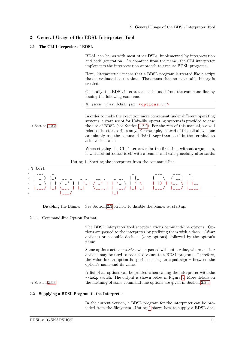### 2 General Usage of the BDSL Interpreter Tool

#### 2.1 The CLI Interpreter of BDSL

<span id="page-10-1"></span><span id="page-10-0"></span>BDSL can be, as with most other DSLs, implemented by interpretation and code generation. As apparent from the name, the CLI interpreter implements the interpretation approach to execute BDSL programs.

Here, interpretation means that a BDSL program is treated like a script that is evaluated at run-time. That mans that no executable binary is created.

Generally, the BDSL interpreter can be used from the command-line by issuing the following command:

<sup>1</sup> \$ java - jar bdsl.jar <options... >

In order to make the execution more convenient under different operating systems, a start script for Unix-like operating systems is provided to ease  $\rightarrow$  Section [1.2.2](#page-8-3) the use of BDSL (see Section [1.2.2\)](#page-8-3). For the rest of this manual, we will refer to the start scripts only. For example, instead of the call above, one can simply use the command "bdsl  $\leq$ options...>" in the terminal to achieve the same.

> When starting the CLI interpreter for the first time without arguments, it will first introduce itself with a banner and exit gracefully afterwards:

Listing 1: Starting the interpreter from the command-line.

| 2 $  -$<br>3   _ ) (_) ___ _ _ _ _ _ _ _ _ _    _      \  / __     <br>$\sim$ 0.000 $\sim$ 0.000 $\sim$ 0.000 $\sim$ 0.000 $\sim$ 0.000 $\sim$ 0.000 $\sim$ 0.000 $\sim$ 0.000 $\sim$ 0.000 $\sim$ 0.000 $\sim$ 0.000 $\sim$ 0.000 $\sim$ 0.000 $\sim$ 0.000 $\sim$ 0.000 $\sim$ 0.000 $\sim$ 0.000 $\sim$ 0.000 $\sim$ 0.000 $\sim$ 0.000 |  | $_1$ \$ $bds1$ |  |  |  |  |  |
|--------------------------------------------------------------------------------------------------------------------------------------------------------------------------------------------------------------------------------------------------------------------------------------------------------------------------------------------|--|----------------|--|--|--|--|--|
|                                                                                                                                                                                                                                                                                                                                            |  |                |  |  |  |  |  |

Disabling the Banner See Section [2.3](#page-12-0) on how to disable the banner at startup.

#### 2.1.1 Command-line Option Format

<span id="page-10-3"></span>The BDSL interpreter tool accepts various command-line options. Options are passed to the interpreter by prefixing them with a dash - (short options) or a double dash  $-$  (long options), followed by the option's name.

Some options act as switches when passed without a value, whereas other options may be used to pass also values to a BDSL program. Therefore, the value for an option is specified using an equal sign = between the option's name and its value.

A list of all options can be printed when calling the interpreter with the --help switch. The output is shown below in Figure [4.](#page-11-0) More details on  $\rightarrow$  Section [2.3.3](#page-15-0) the meaning of some command-line options are given in Section [2.3.3.](#page-15-0)

### 2.2 Supplying a BDSL Program to the Interpreter

<span id="page-10-2"></span>In the current version, a BDSL program for the interpreter can be provided from the filesystem. Listing [2](#page-11-1) shows how to supply a BDSL doc-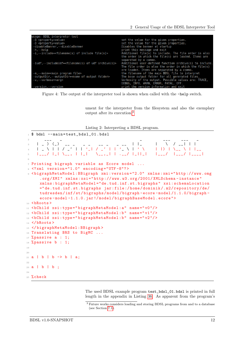<span id="page-11-0"></span>

| usage: BDSL interpreter tool                                               |                                                         |
|----------------------------------------------------------------------------|---------------------------------------------------------|
| -B <property=value></property=value>                                       | set the value for the given properties.                 |
| -D <property=value></property=value>                                       | set the value for the given properties.                 |
| -disableBanner, --disableBanner                                            | Disables the banner at startup                          |
| -h,--help                                                                  | print this message and exit                             |
| -i,--include= <filename(s) file(s)="" include="" of=""></filename(s)>      | Additional file(s) to include. The file order is also   |
|                                                                            | the order in which the file(s) are loaded. Items are    |
|                                                                            | separated by a comma.                                   |
| -iudf,--includeUdf= <filename(s) archive(s)="" of="" udf=""></filename(s)> | Additional user-defined function archive(s) to include. |
|                                                                            | The file order is also the order in which the file(s)   |
|                                                                            | are loaded. Items are separated by a comma.             |
| -m,--main= <main file="" program=""></main>                                | the filename of the main BDSL file to interpret         |
| -outputDir,--outputDir= <name folder="" of="" output=""></name>            | The base output folder for all generated files.         |
| -v.--verbose= <arg></arg>                                                  | Verbosity of the output. Possible values are: TRACE,    |
|                                                                            | DEBUG, INFO, WARN, ERROR, FATAL, OFF.                   |
| -version, --version                                                        | print the version information and exit                  |

Figure 4: The output of the interpreter tool is shown when called with the -help switch.

ument for the interpreter from the filesystem and also the exemplary output after its execution.[3](#page-11-2)

Listing 2: Interpreting a BDSL program.

```
1 $ bdsl --main = test_bds1_01.bds12 \qquad \qquad \qquad \qquad \qquad \qquad \qquad \qquad \qquad \qquad \qquad \qquad \qquad \qquad \qquad \qquad \qquad \qquad \qquad \qquad \qquad \qquad \qquad \qquad \qquad \qquad \qquad \qquad \qquad \qquad \qquad \qquad \qquad \qquad \qquad \qquad \qquad3 | _ ) (_) __ _ _ _ _ _ _ _ _ _ _ | |_   |   \   / __| | |
 4 | _ \ | | / _ ' | | '_| / _' | | '_ \ | ' \ | |) | \__ \ | |__
5 |___/ |_| \__ , | |_| \__ ,_| | .__/ |_||_| |___/ |___/ | ____ |
 6
7 Printing bigraph variable as Ecore model ...
8 \le ?xml version="1.0" encoding="UTF-8"?>
9 < bigraphMetaModel : BBigraph xmi: version ="2.0" xmlns :xmi =" http :// www.omg
      .org/XMI" xmlns:xsi="http://www.w3.org/2001/XMLSchema-instance"
      xmlns : bigraphMetaModel =" de.tud.inf.st. bigraphs " xsi: schemaLocation
      =" de.tud.inf.st. bigraphs jar: file :/ home / dominik /. m2/ repository /de/
      tudresden /inf/st/ bigraphs / model / bigraph -ecore - model /1.1.0/ bigraph -
      ecore -model -1.1.0. jar !/ model / bigraphBaseModel . ecore " >
10 <br/>bRoots>
11 <bChild xsi: type="bigraphMetaModel: a" name="v0"/>
12 <bChild xsi: type="bigraphMetaModel: b" name="v1"/>
13 <bChild xsi: type="bigraphMetaModel: b" name="v2"/>
_{14} </bRoots>
15 </ bigraphMetaModel : BBigraph >
16 Translating BRS to BigMC ...
17 % passive a : 1;
18 % passive b : 1;
19
20
21 a | b | b -> b | a;
22
23 a | b | b ;
24
25 % check
```
The used BDSL example program test\_bdsl\_01.bdsl is printed in full length in the appendix in Listing [36.](#page-50-2) As apparent from the program's

<span id="page-11-2"></span> $^3$  Future works considers loading and storing BDSL programs from and to a database (see Section [7.1\)](#page-46-1).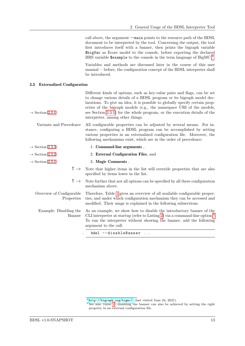call above, the argument --main points to the resource path of the BDSL document to be interpreted by the tool. Concerning the output, the tool first introduces itself with a banner, then prints the bigraph variable \$bigVar as Ecore model to the console, before exporting the declared BRS variable  $\frac{1}{2}$  sexample to the console in the term language of BigMC  $^4$  $^4$ .

Variables and methods are discussed later in the course of this user manual— before, the configuration concept of the BDSL interpreter shall be introduced.

<span id="page-12-0"></span>Different kinds of options, such as key-value pairs and flags, can be set

### 2.3 Externalized Configuration

| $\rightarrow$ Section 2.3.1             | to change various details of a BDSL program or its bigraph model dec-<br>larations. To give an idea, it is possible to globally specify certain prop-<br>erties of the bigraph models (e.g., the namespace URI of the models,<br>see Section 2.3.1) for the whole program, or the execution details of the<br>interpreter, among other things. |
|-----------------------------------------|------------------------------------------------------------------------------------------------------------------------------------------------------------------------------------------------------------------------------------------------------------------------------------------------------------------------------------------------|
| Variants and Precedence                 | All configurable properties can be adjusted by several means. For in-<br>stance, configuring a BDSL program can be accomplished by setting<br>various properties in an externalized configuration file. Moreover, the<br>following mechanisms exist, which are in the order of precedence:                                                     |
| $\rightarrow$ Section 2.3.3             | 1. Command-line arguments,                                                                                                                                                                                                                                                                                                                     |
| $\rightarrow$ Section 2.3.2             | 2. External Configuration Files, and                                                                                                                                                                                                                                                                                                           |
| $\rightarrow$ Section 2.3.1             | 3. Magic Comments.                                                                                                                                                                                                                                                                                                                             |
| ! $\rightarrow$                         | Note that higher items in the list will override properties that are also<br>specified by items lower in the list.                                                                                                                                                                                                                             |
| $! \rightarrow$                         | Note further that not all options can be specified by all three configuration<br>mechanism above.                                                                                                                                                                                                                                              |
| Overview of Configurable<br>Properties  | Therefore, Table 1 gives an overview of all available configurable proper-<br>ties, and under which configuration mechanism they can be accessed and<br>modified. Their usage is explained in the following subsections.                                                                                                                       |
| Example: Disabling the<br><b>Banner</b> | As an example, we show how to disable the introductory banner of the<br>CLI interpreter at startup (refer to Listing 2) via a command-line option. <sup>5</sup><br>To run the interpreter without showing the banner, add the following<br>argument to the call:                                                                               |
| $\mathbf{1}$                            | bdsl --disableBanner<br>$\cdots$                                                                                                                                                                                                                                                                                                               |

<span id="page-12-1"></span><sup>4</sup> <http://bigraph.org/bigmc/>, (last visited June 24, 2021).

<span id="page-12-2"></span><sup>&</sup>lt;sup>5</sup> See also Table [1—](#page-13-0)disabling the banner can also be achieved by setting the right property in an external configuration file.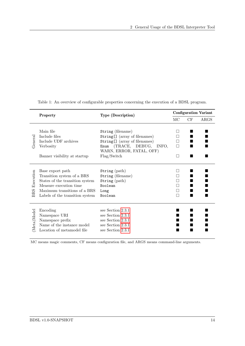|            | Property                        | <b>Type (Description)</b>      | <b>Configuration Variant</b> |    |      |
|------------|---------------------------------|--------------------------------|------------------------------|----|------|
|            |                                 |                                | МC                           | CF | ARGS |
|            |                                 |                                |                              |    |      |
|            | Main file                       | String (filename)              |                              |    |      |
|            | Include files                   | String [] (array of filenames) |                              |    |      |
| General    | Include UDF archives            | String[] (array of filenames)  |                              |    |      |
|            | Verbosity                       | Enum (TRACE, DEBUG, INFO,      | П                            |    |      |
|            |                                 | WARN, ERROR, FATAL, OFF)       |                              |    |      |
|            | Banner visibility at startup    | Flag/Switch                    | П                            |    |      |
|            |                                 |                                |                              |    |      |
|            | Base export path                | $String$ (path)                |                              |    |      |
| Execution  | Transition system of a BRS      | String (filename)              |                              |    |      |
|            | States of the transition system | String (path)                  |                              |    |      |
|            | Measure execution time          | Boolean                        |                              |    |      |
|            | Maximum transitions of a BRS    | Long                           |                              |    |      |
| <b>BRS</b> | Labels of the transition system | Boolean                        |                              |    |      |
|            |                                 |                                |                              |    |      |
|            | Encoding                        | see Section 2.3.1              |                              |    |      |
| Meta)Model | Namespace URI                   | see Section 2.3.1              |                              |    |      |
|            | Namespace prefix                | see Section 2.3.1              |                              |    |      |
|            | Name of the instance model      | see Section 2.3.1              |                              |    |      |
|            | Location of metamodel file      | see Section 2.3.1              |                              |    |      |
|            |                                 |                                |                              |    |      |

<span id="page-13-0"></span>Table 1: An overview of configurable properties concerning the execution of a BDSL program.

MC means magic comments, CF means configuration file, and ARGS means command-line arguments.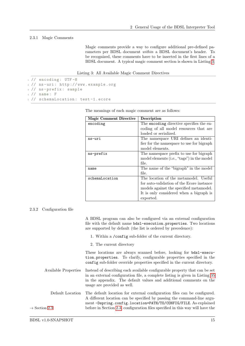#### 2.3.1 Magic Comments

<span id="page-14-0"></span>Magic comments provide a way to configure additional pre-defined parameters per BDSL document within a BDSL document's header. To be recognized, these comments have to be inserted in the first lines of a BDSL document. A typical magic comment section is shown in Listing [3.](#page-14-2)

Listing 3: All Available Magic Comment Directives

```
1 // encoding: UTF-8
2 // ns -uri: http :// www. example .org
3 // ns - prefix : sample
4 // name : F
5 // schemaLocation : test -1. ecore
```

| <b>Magic Comment Directive</b> | Description                                |
|--------------------------------|--------------------------------------------|
| encoding                       | The encoding directive specifies the en-   |
|                                | coding of all model resources that are     |
|                                | loaded or serialized.                      |
| ns-uri                         | The namespace URI defines an identi-       |
|                                | fier for the namespace to use for bigraph  |
|                                | model elements.                            |
| ns-prefix                      | The namespace prefix to use for bigraph    |
|                                | model elements (i.e., "tags") in the model |
|                                | file.                                      |
| name                           | The name of the "bigraph" in the model     |
|                                | file.                                      |
| schemaLocation                 | The location of the metamodel. Useful      |
|                                | for auto-validation of the Ecore instance  |
|                                | models against the specified metamodel.    |
|                                | It is only considered when a bigraph is    |
|                                | exported.                                  |

The meanings of each magic comment are as follows:

#### 2.3.2 Configuration file

<span id="page-14-1"></span>A BDSL program can also be configured via an external configuration file with the default name bdsl-execution.properties. Two locations are supported by default (the list is ordered by precedence):

- 1. Within a /config sub-folder of the current directory.
- 2. The current directory

These locations are always scanned before, looking for bdsl-execution.properties. To clarify, configurable properties specified in the config sub-folder override properties specified in the current directory.

- Available Properties Instead of describing each available configurable property that can be set in an external configuration file, a complete listing is given in Listing [35](#page-50-3) in the appendix. The default values and additional comments on the usage are provided as well.
- Default Location The default location for external configuration files can be configured. A different location can be specified by passing the command-line argument -Dspring.config.location=PATH/TO/CONFIG/FILE. As explained  $\rightarrow$  Section [2.3](#page-12-0) before in Section [2.3,](#page-12-0) configuration files specified in this way will have the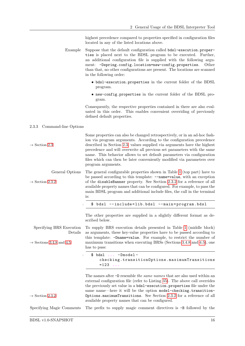highest precedence compared to properties specified in configuration files located in any of the listed locations above.

- Example Suppose that the default configuration called bdsl-execution.properties is placed next to the BDSL program to be executed. Further, an additional configuration file is supplied with the following argument: -Dspring.config.location=new-config.properties. Other than that, no other configurations are present. The locations are scanned in the following order:
	- bdsl-execution.properties in the current folder of the BDSL program.
	- new-config.properties in the current folder of the BDSL program.

<span id="page-15-0"></span>Consequently, the respective properties contained in there are also evaluated in this order. This enables convenient overriding of previously defined default properties.

### 2.3.3 Command-line Options

| $\rightarrow$ Section 2.3                                                   | Some properties can also be changed retrospectively, or in an ad-hoc fash-<br>ion via program arguments. According to the configuration precedence<br>described in Section 2.3, values supplied via arguments have the highest<br>precedence and will overwrite all previous set parameters with the same<br>name. This behavior allows to set default parameters via configuration<br>files which can then be later conveniently modified via parameters over<br>program arguments. |
|-----------------------------------------------------------------------------|--------------------------------------------------------------------------------------------------------------------------------------------------------------------------------------------------------------------------------------------------------------------------------------------------------------------------------------------------------------------------------------------------------------------------------------------------------------------------------------|
| General Options<br>$\rightarrow$ Section 2.3.2                              | The general configurable properties shown in Table 1 (top part) have to<br>be passed according to this template: --name=value, with an exception<br>of the disableBanner property. See Section 2.3.2 for a reference of all<br>available property names that can be configured. For example, to pass the<br>main BDSL program and additional include files, the call in the terminal<br>is:                                                                                          |
|                                                                             | \$ bdsl --include=lib.bdsl --main=program.bdsl                                                                                                                                                                                                                                                                                                                                                                                                                                       |
|                                                                             | The other properties are supplied in a slightly different format as de-<br>scribed below.                                                                                                                                                                                                                                                                                                                                                                                            |
| Specifying BRS Execution<br>Details<br>$\rightarrow$ Sections 3.4.8 and 4.5 | To supply BRS execution details presented in Table 1 (middle block)<br>as arguments, these key-value properties have to be passed according to<br>this template: -Dname=value. For example, to restrict the number of<br>maximum transitions when executing BRSs (Sections 3.4.8 and 4.5), one<br>has to pass:                                                                                                                                                                       |
|                                                                             | $$ bds1  - Dmodel -$<br>checking.transitionOptions.maximumTransitions<br>$= 123$                                                                                                                                                                                                                                                                                                                                                                                                     |
| $\rightarrow$ Section 2.3.2                                                 | The names after -D resemble the same names that are also used within an<br>external configuration file (refer to Listing 35). The above call overrides<br>the previously set value in a bds1-execution. properties file under the<br>same name-here it will be the option model-checking.transition-<br>Options.maximumTransitions. See Section 2.3.2 for a reference of all<br>available property names that can be configured.                                                     |
| Specifying Magic Comments                                                   | The prefix to supply magic comment directives is $-B$ followed by the                                                                                                                                                                                                                                                                                                                                                                                                                |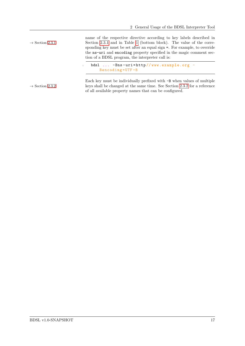name of the respective directive according to key labels described in  $\rightarrow$  Section [2.3.1](#page-14-0) Section 2.3.1 and in Table [1](#page-13-0) (bottom block). The value of the corresponding key must be set after an equal sign =. For example, to override the ns-uri and encoding property specified in the magic comment section of a BDSL program, the interpreter call is: bdsl ... -Bns-uri=http//www.example.org -Bencoding =UTF -8 Each key must be individually prefixed with -B when values of multiple  $\rightarrow$  Section [2.3.2](#page-14-1) keys shall be changed at the same time. See Section 2.3.2 for a reference of all available property names that can be configured.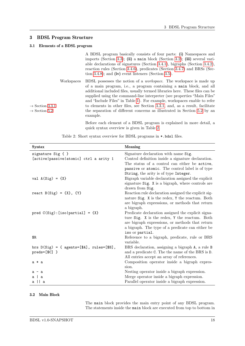### 3 BDSL Program Structure

### 3.1 Elements of a BDSL program

<span id="page-17-1"></span><span id="page-17-0"></span>

| A BDSL program basically consists of four parts: (i) Namespaces and                   |
|---------------------------------------------------------------------------------------|
| imports (Section 3.3); (ii) a main block (Section 3.2); (iii) several vari-           |
| able declarations of signatures (Section 3.4.1), bigraphs (Section 3.4.2),            |
| reaction rules (Section 3.4.6), predicates (Section 3.4.7) and BRSs (Sec-             |
| tion 3.4.8); and (iv) event listeners (Section 3.5).                                  |
| Workspaces BDSL possesses the notion of a <i>workspace</i> . The workspace is made up |

of a main program, i.e., a program containing a main block, and all additional included files, usually termed libraries here. These files can be supplied using the command-line interpreter (see properties "Main Files" and "Include Files" in Table [1\)](#page-13-0). For example, workspaces enable to refer  $\rightarrow$  Section [3.3.1](#page-18-1) to elements in other files, see Section [3.3.1,](#page-18-1) and, as a result, facilitate  $\rightarrow$  Section [5.2](#page-34-0) the separation of different concerns as illustrated in Section 5.2 by an example.

> Before each element of a BDSL program is explained in more detail, a quick syntax overview is given in Table [2.](#page-17-3)

<span id="page-17-3"></span>

| Syntax                                                               | <b>Meaning</b>                                                                                      |
|----------------------------------------------------------------------|-----------------------------------------------------------------------------------------------------|
| signature Sig { }                                                    | Signature declaration with name Sig.                                                                |
| [active   passive   atomic] ctrl a arity 1                           | Control definition inside a signature declaration.                                                  |
|                                                                      | The status of a control can either be active,                                                       |
|                                                                      | passive or atomic. The control label is of type                                                     |
|                                                                      | String, the arity is of type Integer.                                                               |
| val $A(Sig) = {X}$                                                   | Bigraph variable declaration assigned the explicit                                                  |
|                                                                      | signature Sig. X is a bigraph, where controls are                                                   |
|                                                                      | drawn from Sig.                                                                                     |
| react $B(Sig) = {X}, {Y}$                                            | Reaction rule declaration assigned the explicit sig-                                                |
|                                                                      | nature Sig. X is the redex, Y the reactum. Both                                                     |
|                                                                      | are bigraph expressions, or methods that return                                                     |
|                                                                      | a bigraph.                                                                                          |
| pred $C(Sig)$ : [iso partial] = {X}                                  | Predicate declaration assigned the explicit signa-                                                  |
|                                                                      | ture Sig. X is the redex, Y the reactum. Both                                                       |
|                                                                      | are bigraph expressions, or methods that return<br>a bigraph. The type of a predicate can either be |
|                                                                      | iso or partial.                                                                                     |
| \$R                                                                  | Reference to a bigraph, predicate, rule or BRS                                                      |
|                                                                      | variable.                                                                                           |
| brs $D(Sig) = \{ \text{ agents} = [\$A\}, \text{ rules} = [\$B\}, \$ | BRS declaration, assigning a bigraph A, a rule B                                                    |
| $preds=[$C]$ }                                                       | and a predicate C. The the name of the BRS is D.                                                    |
|                                                                      | All entries accept an array of references.                                                          |
| a * a                                                                | Composition operator inside a bigraph expres-                                                       |
|                                                                      | sion.                                                                                               |
| $a - a$                                                              | Nesting operator inside a bigraph expression.                                                       |
| ala                                                                  | Merge operator inside a bigraph expression.                                                         |
| a    a                                                               | Parallel operator inside a bigraph expression.                                                      |

Table 2: Short syntax overview for BDSL programs in \*.bdsl files.

### 3.2 Main Block

<span id="page-17-2"></span>The main block provides the main entry point of any BDSL program. The statements inside the main block are executed from top to bottom in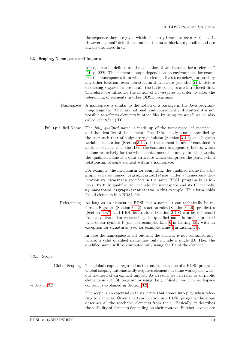the sequence they are given within the curly brackets:  $\text{main} = \{ \dots \}$ . However, "global" definitions outside the main block are possible and are always evaluated first.

#### 3.3 Scoping, Namespaces and Imports

<span id="page-18-0"></span>A scope can be defined as "the collection of valid targets for a reference" [\[21,](#page-49-7) p. 222]. The element's scope depends on its environment, for example, the namespace within which the element lives (see below), or possibly any other location, even non-structural in nature (see also [\[21\]](#page-49-7)). Before discussing scopes in more detail, the basic concepts are introduced first. Therefore, we introduce the notion of namespaces in order to allow the referencing of elements in other BDSL programs.

- Namespace A namespace is similar to the notion of a package in the Java programming language. They are optional, and consequently, if omitted it is not possible to refer to elements in other files by using its simple name, also called identifier (ID).
- Full Qualified Name The *fully qualified name* is made up of the namespace—if specified and the identifier of the element. The ID is usually a name specified by the user such that of a signature definition (Section [3.4.1\)](#page-21-1) or a bigraph variable declaration (Section [3.4.2\)](#page-21-0). If the element is further contained in another element then the ID of the container is appended before, which is done recursively for the whole containment hierarchy. In other words, the qualified name is a data structure which comprises the parent-child relationship of some element within a namespace.

For example, the mechanism for computing the qualified name for a bigraph variable named bigraphVariableName under a namespace declaration my.namespace specified in the same BDSL program is as follows. Its fully qualified will include the namespace and its ID, namely, my.namespace.bigraphVariableName in this example. This form holds for all elements in a BDSL file.

Referencing As long as an element in BDSL has a name, it can technically be referred. Bigraphs (Section [3.4.2\)](#page-21-0), reaction rules (Section [3.4.6\)](#page-25-0), predicates (Section [3.4.7\)](#page-25-1) and BRS declarations (Section [3.4.8\)](#page-26-1) can be referenced from any place. For referencing, the qualified name is further prefixed by a dollar symbol  $\frac{1}{2}$  (see, for example, Line [6](#page-22-0) in Listing [13\)](#page-22-1), with an exception for signatures (see, for example, Line [1](#page-22-2) in Listing [13\)](#page-22-1).

> <span id="page-18-1"></span>In case the namespace is left out and the element is not contained anywhere, a valid qualified name may only include a single ID. Then the qualified name will be computed only using the ID of the element.

#### 3.3.1 Scope

| Global Scoping<br>$\rightarrow$ Section 3.2 | The global scope is regarded as the outermost scope of a BDSL program.<br>Global scoping automatically acquires elements in same workspace, with-<br>out the need of an explicit import. As a result, we can refer to all public<br>elements in a BDSL program by using the <i>qualified name</i> . The workspace<br>concept is explained in Section 3.2. |
|---------------------------------------------|-----------------------------------------------------------------------------------------------------------------------------------------------------------------------------------------------------------------------------------------------------------------------------------------------------------------------------------------------------------|
|                                             | The scope is an essential data structure that comes into play when refer-<br>ring to elements. Given a certain location in a BDSL program, the scope<br>describes all the reachable elements from their. Basically, it describes<br>the visibility of elements depending on their context. Further, scopes are                                            |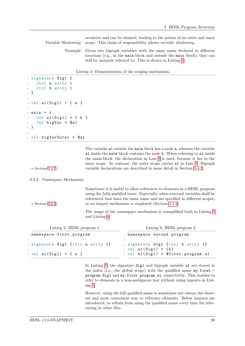recursive and can be chained, leading to the notion of an outer and inner Variable Shadowing scope. This chain of responsibility allows variable shadowing.

> Example Given two bigraph variables with the same name declared in different locations (e.g., in the main block and outside the main block), they can still be uniquely referred to. This is shown in Listing [4.](#page-19-0)

|  | Listing 4: Demonstration of the scoping mechanism. |  |  |
|--|----------------------------------------------------|--|--|
|  |                                                    |  |  |

```
1 signature Sig1 {
2 ctrl a arity 1
    ctrl b arity 1
4 }
5
6 \text{ val } a1(Sig1) = \{ a \}7
s main = {
9 val a1(Sig1) = { b }
10 val bigVar = $a1
11 }
12
13 val bigVarOuter = $a1
```
<span id="page-19-1"></span>The variable a1 outside the main block has a node a, whereas the variable a1 inside the main block contains the node b. When referring to a1 inside the main-block, the declaration in Line [9](#page-19-1) is used, because it lies in the inner scope. In contrast, the outer scope carries a1 in Line [6.](#page-19-2) Bigraph  $\rightarrow$  Section [3.4.2](#page-21-0) variable declarations are described in more detail in Section [3.4.2.](#page-21-0)

3.3.2 Namespace Mechanism

```
Sometimes it is useful to allow references to elements in a BDSL program
                         using the fully qualified name. Especially, when external variables shall be
                         referenced that have the same name and are specified in different scopes,
\rightarrow 3.3.3 3.3.3).
```
<span id="page-19-4"></span>The usage of the namespace mechanism is exemplified both in Listing [5](#page-19-3) and Listing [6.](#page-19-4)

<span id="page-19-3"></span>

| Listing 5: BDSL program 1.                 | Listing 6: BDSL program 2.                                    |  |  |
|--------------------------------------------|---------------------------------------------------------------|--|--|
| 1 namespace first.program                  | namespace second.program                                      |  |  |
| 3 signature Sig1 {ctrl a arity 1}          | 3 signature Sig1 {ctrl b arity 1}<br>4 val $a1(Sig1) = \{b\}$ |  |  |
| $5 \text{ val } \text{al}(Sig1) = \{ a \}$ | $5$ val b1(Sig1) = $$first.program.a1$                        |  |  |

In Listing [5,](#page-19-3) the signature Sig1 and bigraph variable a1 are stored in the index (i.e., the global scope) with the qualified name my.first. program.Sig1 and my.first.program.a1, respectively. This enables to refer to elements in a non-ambiguous way without using imports in Listing [6.](#page-19-4)

However, using the full qualified name is sometimes not always the shortest and most convenient way to reference elements. Below imports are introduced, to refrain from using the qualified name every time for referencing in other files.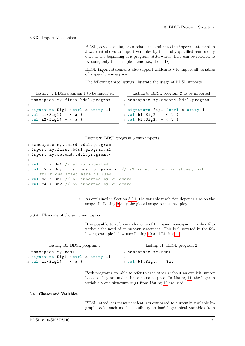#### 3.3.3 Import Mechanism

<span id="page-20-1"></span>BDSL provides an import mechanism, similar to the import statement in Java, that allows to import variables by their fully qualified names only once at the beginning of a program. Afterwards, they can be referred to by using only their simple name (i.e., their ID).

BDSL import statements also support wildcards \* to import all variables of a specific namespace.

The following three listings illustrate the usage of BDSL imports.

| Listing 7: BDSL program 1 to be imported                                                                    | Listing 8: BDSL program 2 to be imported                                                               |
|-------------------------------------------------------------------------------------------------------------|--------------------------------------------------------------------------------------------------------|
| 1 namespace my.first.bdsl.program                                                                           | namespace my.second.bdsl.program                                                                       |
| 2<br>3 signature Sig1 {ctrl a arity 1}<br>4 val $a1(Sig1) = \{ a \}$<br>$5 \text{ val } a2(Sig1) = \{ a \}$ | 3 signature Sig1 {ctrl b arity 1}<br>4 val $b1(Sig2) = \{ b \}$<br>$5 \text{ val } b2(Sig2) = \{ b \}$ |

```
1 namespace my.third.bdsl.program
2 import my. first . bdsl . program .a1
3 import my. second . bdsl . program .*
4
5 val c1 = $a1 // a1 is imported
6 val c2 = $my.first.bdsl.program.a2 // a2 is not imported above, but
    fully qualified name is used
7 val c3 = $b1 // b1 imported by wildcard
s val c4 = $b2 // b2 imported by wildcard
```
 $! \rightarrow \text{As explained in Section 3.3.1, the variable resolution depends also on the}$  $! \rightarrow \text{As explained in Section 3.3.1, the variable resolution depends also on the}$  $! \rightarrow \text{As explained in Section 3.3.1, the variable resolution depends also on the}$ scope. In Listing [9](#page-20-2) only the global scope comes into play.

#### 3.3.4 Elements of the same namespace

<span id="page-20-4"></span>It is possible to reference elements of the same namespace in other files without the need of an import statement. This is illustrated in the following example below (see Listing [10](#page-20-3) and Listing [11\)](#page-20-4).

<span id="page-20-3"></span>

| Listing 10: BDSL program $1$               | Listing 11: BDSL program 2   |  |  |
|--------------------------------------------|------------------------------|--|--|
| 1 namespace my.bdsl                        | namespace my.bdsl. namespace |  |  |
| 2 signature Sig1 {ctrl a arity 1}          |                              |  |  |
| $3 \text{ val } \text{al}(Sig1) = \{ a \}$ | $_3$ val b1(Sig1) = $$a1$    |  |  |

Both programs are able to refer to each other without an explicit import because they are under the same namespace. In Listing [11,](#page-20-4) the bigraph variable a and signature Sig1 from Listing [10](#page-20-3) are used.

### 3.4 Classes and Variables

<span id="page-20-0"></span>BDSL introduces many new features compared to currently available bigraph tools, such as the possibility to load bigraphical variables from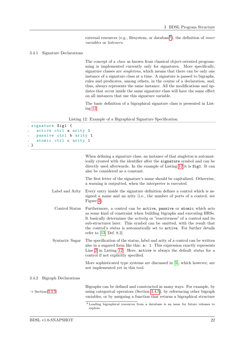<span id="page-21-1"></span>external resources (e.g., filesystem, or database<sup>[6](#page-21-2)</sup>), the definition of *inner* variables or listeners.

#### 3.4.1 Signature Declarations

The concept of a class as known from classical object-oriented programming is implemented currently only for signatures. More specifically, signature classes are *singletons*, which means that there can be only one instance of a signature class at a time. A signature is passed to bigraphs, rules and predicates, among others, in the course of a declaration, and, thus, always represents the same instance. All the modifications and updates that occur inside the same signature class will have the same effect on all instances that use this signature variable.

The basic definition of a bigraphical signature class is presented in Listing [12:](#page-21-3)

|  |  | Listing 12: Example of a Bigraphical Signature Specification |
|--|--|--------------------------------------------------------------|
|  |  |                                                              |

```
1 signature Sig1 {
2 active ctrl a arity 1
   passive ctrl b arity 1
4 atomic ctrl c arity 1
5 }
```

|                                      | When defining a signature class, an instance of that singleton is automat-<br>ically created with the identifier after the signature symbol and can be<br>directly used afterwards. In the example of Listing 12 it is Sig1. It can<br>also be considered as a constant.                                                                                                                                                    |
|--------------------------------------|-----------------------------------------------------------------------------------------------------------------------------------------------------------------------------------------------------------------------------------------------------------------------------------------------------------------------------------------------------------------------------------------------------------------------------|
|                                      | The first letter of the signature's name should be capitalized. Otherwise,<br>a warning is outputted, when the interpreter is executed.                                                                                                                                                                                                                                                                                     |
| Label and Arity                      | Every entry inside the signature definition defines a control which is as-<br>signed a name and an arity (i.e., the number of ports of a control, see<br>Figure 2).                                                                                                                                                                                                                                                         |
| Control Status                       | Furthermore, a control can be active, passive or atomic which acts<br>as some kind of constraint when building bigraphs and executing BRSs.<br>It basically determines the <i>activity</i> or "reactiveness" of a control and its<br>sub-structures later. This symbol can be omitted, with the result that<br>the control's <i>status</i> is automatically set to active. For further details<br>refer to $[13,$ Def. 8.2. |
| Syntactic Sugar                      | The specification of the status, label and arity of a control can be written<br>also in a sugared form like this: <b>a</b> : <b>1</b> . This expression exactly represents<br>Line 2 in Listing 12. Here, active is always the default status for a<br>control if not explicitly specified.                                                                                                                                 |
|                                      | More sophisticated type systems are discussed in [5], which however, are<br>not implemented yet in this tool.                                                                                                                                                                                                                                                                                                               |
| <b>Bigraph Declarations</b><br>3.4.2 |                                                                                                                                                                                                                                                                                                                                                                                                                             |
| $\rightarrow$ Section 3.4.5          | Bigraphs can be defined and constructed in many ways. For example, by<br>using categorical operators (Section 3.4.5), by referencing other bigraph<br>variables, or by assigning a function that returns a bigraphical structure                                                                                                                                                                                            |
|                                      | $6$ Loading bigraphical resources from a database is an issue for future releases to<br>explore.                                                                                                                                                                                                                                                                                                                            |

<span id="page-21-2"></span><span id="page-21-0"></span> $3.4.2$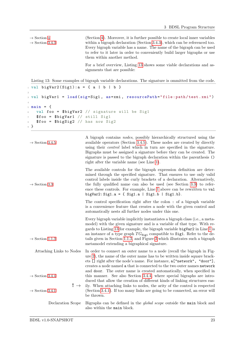```
\rightarrow 4 4). Moreover, it is further possible to create local inner variables
\rightarrow 3.4.3 3.4.3), which can be referenced too.
                           Every bigraph variable has a name. The name of the bigraph can be used
                           to refer to it later in order to conveniently build larger bigraphs or use
                           them within another method.
                           For a brief overview, Listing 13 shows some viable declarations and as-
                           signments that are possible:
Listing 13: Some examples of bigraph variable declarations. The signature is ommitted from the code.
```

```
_1 val bigVar2(Sig1):a = { a | b | b }
2
3 val bigVar1 = load (sig=Sig1 , as=xmi , resourcePath =" file : path / test .xmi")
4
5 main = {
6 val foo = $bigVar2 // signature will be Sig1
   $foo = $bigVar1 / /  still Sig18 $foo = $bigSig2 // has now Sig2
9 }
```

| $\rightarrow$ Section 3.4.5                                                | A bigraph contains <i>nodes</i> , possibly hierarchically structured using the<br>available operators (Section 3.4.5). These nodes are created by directly<br>using their <i>control</i> label which in turn are specified in the signature.<br>Bigraphs must be assigned a signature before they can be created. The<br>signature is passed to the bigraph declaration within the parenthesis ()<br>right after the variable name (see Line 1).                                                                                                                                                                          |
|----------------------------------------------------------------------------|---------------------------------------------------------------------------------------------------------------------------------------------------------------------------------------------------------------------------------------------------------------------------------------------------------------------------------------------------------------------------------------------------------------------------------------------------------------------------------------------------------------------------------------------------------------------------------------------------------------------------|
| $\rightarrow$ Section 3.3                                                  | The available controls for the bigraph expression definition are deter-<br>mined through the specified signature. That ensures to use only valid<br>control labels inside the curly brackets of a declaration. Alternatively,<br>the fully qualified name can also be used (see Section 3.3) to refer-<br>ence these controls. For example, Line 1 above can be rewritten to val<br>bigVar2: Sig1.a = { Sig1.a   Sig1.b   Sig1.b}.                                                                                                                                                                                        |
|                                                                            | The control specification right after the colon : of a bigraph variable<br>is a convenience feature that creates a node with the given control and<br>automatically nests all further nodes under this one.                                                                                                                                                                                                                                                                                                                                                                                                               |
| $\rightarrow$ Section 1.1.3                                                | Every bigraph variable implicitly instantiates a bigraph class (i.e., a meta-<br>model) with the given signature and is a variable of that type. With re-<br>gards to Listing 13 for example, the bigraph variable bigVar2 in Line 1 is<br>an instance of a type graph $TG_{\text{Sig1}}$ compatible to Sig1. Refer to the de-<br>tails given in Section 1.1.3, and Figure 3 which illustrates such a bigraph<br>metamodel extending a bigraphical signature.                                                                                                                                                             |
| Attaching Links to Nodes<br>$\rightarrow$ Section 3.4.4<br>! $\rightarrow$ | In order to connect an outer name to a node (recall the bigraph in Fig-<br>ure 2), the name of the outer name has to be written inside square brack-<br>ets [] right after the node's name. For instance, a ["network", "door"],<br>creates a node named a that is connected to the two outer names network<br>and door. The outer name is created automatically, when specified in<br>this manner. See also Section 3.4.4, where special bigraphs are intro-<br>duced that allow the creation of different kinds of linking structures eas-<br>ily. When attaching links to nodes, the arity of the control is respected |
| $\rightarrow$ Section 3.4.1                                                | (Section 3.4.1). If too many links are going to be connected, an error will<br>be thrown.                                                                                                                                                                                                                                                                                                                                                                                                                                                                                                                                 |
| Declaration Scope                                                          | Bigraphs can be defined in the <i>global scope</i> outside the main block and<br>also within the main block.                                                                                                                                                                                                                                                                                                                                                                                                                                                                                                              |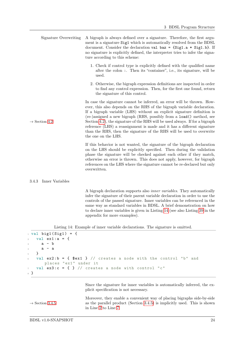| Signature Overwriting     | A bigraph is always defined over a signature. Therefore, the first argu-<br>ment is a signature Sig1 which is automatically resolved from the BDSL<br>document. Consider the declaration val $\texttt{baz} = \{\texttt{Sig1.a} * \texttt{Sig1.b}\}\$ . If<br>no signature is explicitly defined, the interpreter tries to infer the signa-<br>ture according to this scheme:                                                                                                                                                                                     |
|---------------------------|------------------------------------------------------------------------------------------------------------------------------------------------------------------------------------------------------------------------------------------------------------------------------------------------------------------------------------------------------------------------------------------------------------------------------------------------------------------------------------------------------------------------------------------------------------------|
|                           | 1. Check if control type is explicitly defined with the qualified name<br>after the colon :. Then its "container", i.e., its signature, will be<br>used.                                                                                                                                                                                                                                                                                                                                                                                                         |
|                           | 2. Otherwise, the bigraph expression definitions are inspected in order<br>to find any control expression. Then, for the first one found, return<br>the signature of this control.                                                                                                                                                                                                                                                                                                                                                                               |
| $\rightarrow$ Section 4.2 | In case the signature cannot be inferred, an error will be thrown. How-<br>ever, this also depends on the RHS of the bigraph variable declaration.<br>If a bigraph variable (LHS) without an explicit signature definition is<br>(re-)assigned a new bigraph (RHS, possibly from a load() method, see<br>Section 4.2), the signature of the RHS will be used always. If for a bigraph<br>reference (LHS) a reassignment is made and it has a different signature<br>than the RHS, then the signature of the RHS will be used to overwrite<br>the one on the LHS. |
|                           | If this behavior is not wanted, the signature of the bigraph declaration<br>on the LHS should be explicitly specified. Then during the validation<br>phase the signature will be checked against each other if they match,<br>otherwise an error is thrown. This does not apply, however, for bigraph<br>references on the LHS where the signature cannot be re-declared but only<br>overwritten.                                                                                                                                                                |
| 3.4.3<br>Inner Variables  |                                                                                                                                                                                                                                                                                                                                                                                                                                                                                                                                                                  |
|                           | A bigraph declaration supports also <i>inner variables</i> . They automatically                                                                                                                                                                                                                                                                                                                                                                                                                                                                                  |

<span id="page-23-0"></span>infer the signature of their parent variable declaration in order to use the controls of the passed signature. Inner variables can be referenced in the same way as standard variables in BDSL. A brief demonstration on how to declare inner variables is given in Listing [14](#page-23-1) (see also Listing [39](#page-52-0) in the appendix for more examples).

Listing 14: Example of inner variable declarations. The signature is omitted.

```
_1 val big1 (Sig1) = {
2 val ex1: a = f3 a - b
4 a - a
5 }
6 val ex2:b = \{ $ex1 } // creates a node with the control "b" and
      places "ex1" under it
7 val ex3:c = { } // creates a node with control "c"
8 }
```
Since the signature for inner variables is automatically inferred, the explicit specification is not necessary.

<span id="page-23-3"></span>Moreover, they enable a convenient way of placing bigraphs side-by-side  $\rightarrow$  Section [3.4.5](#page-24-0) as the parallel product (Section [3.4.5\)](#page-24-0) is implicitly used. This is shown in Line [2](#page-23-2) to Line [7.](#page-23-3)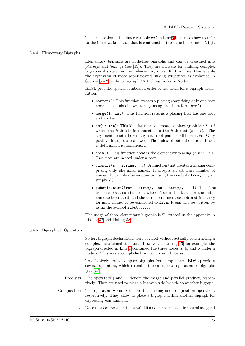<span id="page-24-1"></span>The declaration of the inner variable ex2 in Line [6](#page-23-4) illustrates how to refer to the inner variable ex1 that is contained in the same block under big1.

#### 3.4.4 Elementary Bigraphs

Elementary bigraphs are node-free bigraphs and can be classified into placings and linkings (see [\[13\]](#page-48-1)). They are a means for building complex bigraphical structures from elementary ones. Furthermore, they enable the expression of more sophisticated linking structures as explained in Section [3.4.2](#page-21-0) in the paragraph "Attaching Links to Nodes".

BDSL provides special symbols in order to use them for a bigraph declaration:

- barren(): This function creates a placing comprising only one root node. It can also be written by using the short form brn().
- merge(i: int): This function returns a placing that has one root and i sites.
- id(i: int): This identity function creates a place graph  $\mathsf{id}_i : i \to i$ where the k-th site is connected to the k-th root  $(k \in i)$ . The argument denotes how many "site-root-pairs" shall be created. Only positive integers are allowed. The index of both the site and root is determined automatically.
- join(): This function creates the elementary placing  $join: 2 \rightarrow 1$ . Two sites are nested under a root.
- closure(s: string, . . .): A function that creates a linking comprising only idle inner names. It accepts an arbitrary number of names. It can also be written by using the symbol clsre(...) or simply  $/(\ldots)$ .
- substitution(from: string, [to: string, ...]): This function creates a substitution, where from is the label for the outer name to be created, and the second argument accepts a string array for inner names to be connected to from. It can also be written by using the symbol  $\text{subst}(\ldots)$ .

<span id="page-24-0"></span>The usage of these elementary bigraphs is illustrated in the appendix in Listing [37](#page-51-0) and Listing [38.](#page-52-1)

#### 3.4.5 Bigraphical Operators

So far, bigraph declarations were covered without actually constructing a complex hierarchical structure. However, in Listing [13,](#page-22-1) for example, the bigraph created in Line [1](#page-22-2) contained the three nodes a, b, and b under a node a. This was accomplished by using special operators.

To effectively create complex bigraphs from simple ones, BDSL provides several operators, which resemble the categorical operators of bigraphs (see [\[13\]](#page-48-1)):

- Products The operators | and || denote the merge and parallel product, respectively. They are used to place a bigraph side-by-side to another bigraph.
- Composition The operators and \* denote the nesting and composition operation, respectively. They allow to place a bigraph within another bigraph for expressing containment.
	- $! \rightarrow \text{Note that composition is not valid if a node has an atomic control assigned.}$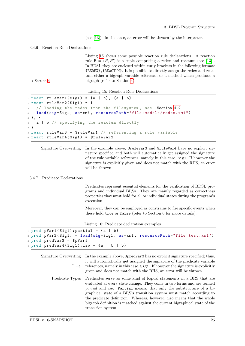<span id="page-25-0"></span>(see [\[13\]](#page-48-1)). In this case, an error will be thrown by the interpreter.

3.4.6 Reaction Rule Declarations

Listing [15](#page-25-2) shows some possible reaction rule declarations. A reaction rule  $R = (R, R')$  is a tuple comprising a redex and reactum (see [\[13\]](#page-48-1)). In BDSL they are enclosed within curly brackets in the following format: {REDEX},{REACTUM}. It is possible to directly assign the redex and reactum either a bigraph variable reference, or a method which produces a  $\rightarrow$  Section [4](#page-28-0) bigraph (refer to Section [4\)](#page-28-0).

<span id="page-25-2"></span>

|  |  |  | Listing 15: Reaction Rule Declarations |
|--|--|--|----------------------------------------|
|--|--|--|----------------------------------------|

```
1 react ruleVar1 (Sign) = {a | b}, {a | b}
2 react ruleVar2 (Sig1) = {
    4.2
   4 load (sig=Sig1 , as=xmi , resourcePath =" file : models / redex .xmi")
5 }, {
6 a | b // specifying the reactum directly
7 }
s react ruleVar3 = $ruleVar1 // referencing a rule variable
9 react ruleVar4 (Sig1) = $ruleVar2
```

```
Signature Overwriting In the example above, $ruleVar3 and $ruleVar4 have no explicit sig-
                        nature specified and both will automatically get assigned the signature
                        of the rule variable references, namely in this case, Sig1. If however the
                        signature is explicitly given and does not match with the RHS, an error
                        will be thrown.
```
### 3.4.7 Predicate Declarations

<span id="page-25-1"></span>Predicates represent essential elements for the verification of BDSL programs and individual BRSs. They are mainly regarded as correctness properties that must hold for all or individual states during the program's execution.

Moreover, they can be employed as constrains to fire specific events when these hold true or false (refer to Section [6](#page-41-0) for more details).

Listing 16: Predicate declaration examples.

```
1 pred pVar1(Sig1): partial = {a | b}
2 pred pVar2 ( Sig1 ) = load (sig=Sig1 , as=xmi , resourcePath =" file : test .xmi")
3 pred predVar3 = $pVar1
4 \text{ pred } predVar4(Sig1) : iso = \{a | b | b\}
```
- Signature Overwriting In the example above,  $\epsilon$  redVar3 has no explicit signature specified; thus, it will automatically get assigned the signature of the predicate variable  $! \rightarrow \text{ references, namely in this case, Sig1. If however the signature is explicitly}$ given and does not match with the RHS, an error will be thrown.
	- Predicate Types Predicates serve as some kind of logical statements in a BRS that are evaluated at every state change. They come in two forms and are termed partial and iso. Partial means, that only the substructure of a bigraphical state of a BRS's transition system must match according to the predicate definition. Whereas, however, iso means that the whole bigraph definition is matched against the current bigraphical state of the transition system.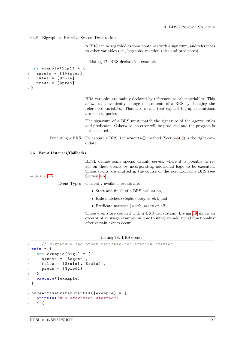3.4.8 Bigraphical Reactive System Declarations

<span id="page-26-1"></span>A BRS can be regarded as some container with a signature, and references to other variables (i.e., bigraphs, reaction rules and predicates).

Listing 17: BRS declaration example.

```
_1 brs example (Sig1) = {
   agents = [$bigVar],rules = [$rule],
4 preds = [$pred]
5 }
```
BRS variables are mainly declared by references to other variables. This allows to conveniently change the contents of a BRS by changing the referenced variables. That also means that explicit bigraph definitions are not supported.

<span id="page-26-0"></span>The signature of a BRS must match the signature of the agents, rules and predicates. Otherwise, an error will be produced and the program is not executed.

Executing a BRS To execute a BRS, the execute () method (Section [4.5\)](#page-31-0) is the right candidate.

#### 3.5 Event Listeners/Callbacks

BDSL defines some special default events, where it is possible to react on these events by incorporating additional logic to be executed. These events are emitted in the course of the execution of a BRS (see  $\rightarrow$  Section [4.5](#page-31-0) Section [4.5\)](#page-31-0),

Event Types Currently available events are:

- Start and finish of a BRS evaluation,
- Rule matches *(single, many or all)*, and
- Predicate matches (single, many or all).

These events are coupled with a BRS declaration. Listing [18](#page-26-2) shows an excerpt of an usage example on how to integrate additional functionality after certain events occur.

Listing 18: BRS events.

```
// signature and other variable declaration omitted
2 main = {
3 brs example (Sig1) = {
      agents = [\$agent],5 rules = [$rule1, $rule2],
6 preds = [$pred1]
    \mathcal{F}8 execute ($example)
9 }
10
11 onReactiveSystemStarted ($example) = {
12 println ("BRS execution started")
13 j {
```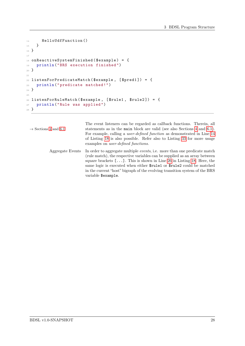```
14 HelloUdfFunction ()
15 }
16 }
17
_{18} on<br>ReactiveSystemFinished ($example) = {
19 println ("BRS execution finished ")
20 }
21
22 listenForPredicateMatch ($example, [$pred1]) = {
23 println (" predicate matched !")
24 }
25
26 listenForRuleMatch ($example, [$rule1, $rule2]) = {
27 println (" Rule was applied ")
28 }
```
<span id="page-27-1"></span>

| $\rightarrow$ Sections 4 and 6.1 | The event listeners can be regarded as callback functions. Therein, all<br>statements as in the main block are valid (see also Sections 4 and 6.1).<br>For example, calling a <i>user-defined function</i> as demonstrated in Line 14<br>of Listing 18 is also possible. Refer also to Listing 33 for more usage<br>examples on <i>user-defined functions</i> .                                                         |
|----------------------------------|-------------------------------------------------------------------------------------------------------------------------------------------------------------------------------------------------------------------------------------------------------------------------------------------------------------------------------------------------------------------------------------------------------------------------|
| Aggregate Events                 | In order to aggregate multiple events, i.e. more than one predicate match<br>(rule match), the respective variables can be supplied as an array between<br>square brackets $[\dots]$ . This is shown in Line 26 in Listing 18. Here, the<br>same logic is executed when either \$rule1 or \$rule2 could be matched<br>in the current "host" bigraph of the evolving transition system of the BRS<br>variable \$example. |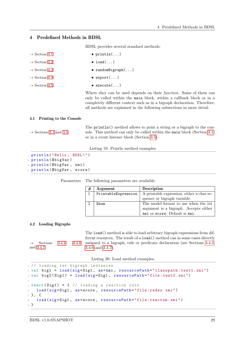### 4 Predefined Methods in BDSL

<span id="page-28-0"></span>BDSL provides several standard methods:

| $\rightarrow$ Section 4.1 | $\bullet$ println $(\ldots)$                                                                                                                                                                                                                                                                               |
|---------------------------|------------------------------------------------------------------------------------------------------------------------------------------------------------------------------------------------------------------------------------------------------------------------------------------------------------|
| $\rightarrow$ Section 4.2 | $\bullet$ load()                                                                                                                                                                                                                                                                                           |
| $\rightarrow$ Section 4.3 | • randomBigraph $()$                                                                                                                                                                                                                                                                                       |
| $\rightarrow$ Section 4.4 | $\bullet$ export $\ldots$ )                                                                                                                                                                                                                                                                                |
| $\rightarrow$ Section 4.5 | $\bullet$ execute()                                                                                                                                                                                                                                                                                        |
|                           | Where they can be used depends on their <i>function</i> . Some of them can<br>only be called within the main block, within a callback block or in a<br>completely different context such as in a bigraph declaration. Therefore,<br>all methods are explained in the following subsections in more detail. |

#### 4.1 Printing to the Console

The println() method allows to print a string or a bigraph to the con-  $\rightarrow$  Sections [3.1](#page-17-1) and [3.5](#page-26-0) sole. This method can only be called within the main block (Section [3.1\)](#page-17-1) or in a event listener block (Section [3.5\)](#page-26-0).

<span id="page-28-1"></span>Listing 19: Println method examples.

```
1 println ("Hello, BDSL!")
2 println ($bigVar)
3 println ( $bigVar , xmi)
4 println ($bigVar, ecore)
```
Parameters The following parameters are available:

<span id="page-28-2"></span>

|   | Argument            | <b>Description</b>                        |
|---|---------------------|-------------------------------------------|
|   | PrintableExpression | A printable expression, either a char se- |
|   |                     | quence or bigraph variable.               |
| ച | $F_{m11m}$          | The model format to use when the 1st      |
|   |                     | argument is a bigraph. Accepts either     |
|   |                     | xmi or ecore. Default is xmi.             |

#### 4.2 Loading Bigraphs

and [3.4.7](#page-25-1) [3.4.6](#page-25-0) and [3.4.7\)](#page-25-1).

The load() method is able to load arbitrary bigraph expressions from different resources. The result of a load() method can in some cases directly  $\rightarrow$  Sections [3.4.2,](#page-21-0) [3.4.6](#page-25-0) assigned to a bigraph, rule or predicate declaration (see Sections 3.4.2,

Listing 20: Load method examples.

```
1 // loading two bigraph instances
2 val big1 = load (sig=Sig1 , as=xmi , resourcePath =" classpath : test1 .xmi")
3 val big2 ( Sig1 ) = load (sig=Sig1 , resourcePath =" file : test2 .xmi")
4
5 react (Sig1) = { // loading a reaction rule
   load (sig=Sig1, as=ecore, resourcePath="file:redex.xmi")
7 }, {
8 load (sig=Sig1, as=ecore, resourcePath="file: reactum. xmi")
9 }
```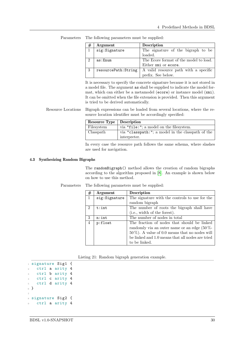|   | Argument             | Description                            |
|---|----------------------|----------------------------------------|
|   | sig:Signature        | The signature of the bigraph to be     |
|   |                      | loaded.                                |
|   | as:Enum              | The Ecore format of the model to load. |
|   |                      | Either xmi or ecore.                   |
| 3 | resourcePath: String | A valid resource path with a specific  |
|   |                      | prefix. See below.                     |

Parameters The following parameters must be supplied:

It is necessary to specify the concrete signature because it is not stored in a model file. The argument as shall be supplied to indicate the model format, which can either be a metamodel (ecore) or instance model (xmi). It can be omitted when the file extension is provided. Then this argument is tried to be derived automatically.

Resource Locations Bigraph expressions can be loaded from several locations, where the resource location identifier must be accordingly specified:

| <b>Resource Type</b>   Description |                                                   |
|------------------------------------|---------------------------------------------------|
| Filesystem                         | via "file:"; a model on the filesystem.           |
| Classpath                          | via "classpath:"; a model in the classpath of the |
|                                    | interpreter.                                      |

<span id="page-29-0"></span>In every case the resource path follows the same schema, where slashes are used for navigation.

### 4.3 Synthesizing Random Bigraphs

The randomBigraph() method allows the creation of random bigraphs according to the algorithm proposed in [\[8\]](#page-48-13). An example is shown below on how to use this method.

| #              | <b>Argument</b> | Description                                       |  |
|----------------|-----------------|---------------------------------------------------|--|
| $\mathbf{1}$   | sig:Signature   | The signature with the controls to use for the    |  |
|                |                 | random bigraph                                    |  |
| $\mathfrak{D}$ | t:int           | The number of roots the bigraph shall have        |  |
|                |                 | (i.e., width of the forest).                      |  |
| 3              | n:int           | The number of nodes in total                      |  |
| $\overline{4}$ | p:float         | The fraction of nodes that should be linked       |  |
|                |                 | randomly via an outer name or an edge $(50\% -$   |  |
|                |                 | $50\%$ ). A value of 0.0 means that no nodes will |  |
|                |                 | be linked and 1.0 means that all nodes are tried  |  |
|                |                 | to be linked.                                     |  |

Parameters The following parameters must be supplied:

| Listing 21: Random bigraph generation example. |  |  |  |
|------------------------------------------------|--|--|--|
|------------------------------------------------|--|--|--|

 signature Sig1 { ctrl a arity 4 ctrl b arity 4 ctrl c arity 4 ctrl d arity 4 <sup>6</sup> } 7 signature Sig2 { ctrl a arity 4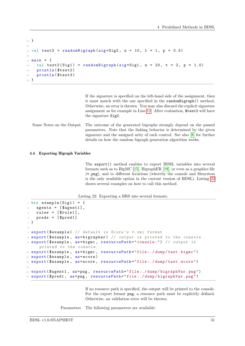```
10^{1}11
12 val test3 = randomBigraph (sig=Sig2, n = 10, t = 1, p = 0.5)
13
14 main = {
15 val test2(Sig1) = randomBigraph (sig=Sig1, n = 20, t = 2, p = 1.0)
16 println ($test2)
17 println ($test3)
18 }
```
If the signature is specified on the left-hand side of the assignment, then it must match with the one specified in the randomBigraph() method. Otherwise, an error is thrown. You may also discard the explicit signature assignment as for example in Line [12.](#page-30-1) After evaluation, \$test3 will have the signature Sig2.

Some Notes on the Output The outcome of the generated bigraphs strongly depend on the passed parameters. Note that the linking behavior is determined by the given signature and the assigned arity of each control. See also [\[8\]](#page-48-13) for further details on how the random bigraph generation algorithm works.

#### 4.4 Exporting Bigraph Variables

<span id="page-30-0"></span>The export() method enables to export BDSL variables into several formats such as to BigMC [\[15\]](#page-48-14), BigraphER [\[19\]](#page-49-6), or even as a graphics file (\*.png), and to different locations (whereby the console and filesystem is the only available option in the current version of BDSL). Listing [22](#page-30-2) shows several examples on how to call this method.

Listing 22: Exporting a BRS into several formats.

```
_1 brs example (Sig1) =
2 agents = [$agent1],
    rules = [$rule1],preds = [$pred1]5 }
6
7 export ( $example ) // default is Ecore 's *. xmi format
8 export ($example, as=bigrapher) // output is printed to the console
9 export ( $example , as=bigmc , resourcePath =" console :") // output is
     printed to the console
10 export ($example, as=bigmc, resourcePath="file:./dump/test.bigmc")
11 export ($example, as=ecore)
12 export ($example, as=ecore, resourcePath="file:./dump/test.ecore")
13
14 export ($agent1, as=png, resourcePath="file:./dump/bigraphVar.png")
15 export ($pred1 , as=png , resourcePath =" file :./ dump / bigraphVar .png")
```
If no resource path is specified, the output will be printed to the console. For the export format png, a resource path must be explicitly defined. Otherwise, an validation error will be thrown.

Parameters The following parameters are available: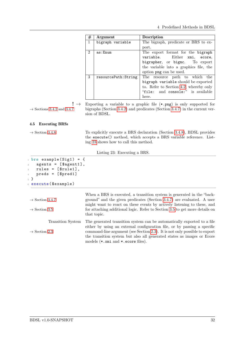4 Predefined Methods in BDSL

| $_{\#}$        | Argument             | Description                            |
|----------------|----------------------|----------------------------------------|
| $\mathbf{1}$   | bigraph variable     | The bigraph, predicate or BRS to ex-   |
|                |                      | port.                                  |
| $\overline{2}$ | as:Enum              | The export format for the bigraph      |
|                |                      | variable. Either xmi, ecore,           |
|                |                      | bigrapher, or bigmc. To export         |
|                |                      | the variable into a graphics file, the |
|                |                      | option png can be used.                |
| 3              | resourcePath: String | The resource path to which the         |
|                |                      | bigraph variable should be exported    |
|                |                      | to. Refer to Section 4.2, whereby only |
|                |                      | "file: and console:" is available      |
|                |                      | here.                                  |

<span id="page-31-0"></span>

! → Exporting a variable to a graphic file (\*.png) is only supported for  $\rightarrow$  Sections [3.4.2](#page-21-0) and [3.4.7](#page-25-1) bigraphs (Section [3.4.2\)](#page-21-0) and predicates (Section [3.4.7\)](#page-25-1) in the current version of BDSL.

### 4.5 Executing BRSs

 $\rightarrow$  Section [3.4.8](#page-26-1) To explicitly execute a BRS declaration (Section [3.4.8\)](#page-26-1), BDSL provides the execute() method, which accepts a BRS variable reference. Listing [23](#page-31-1) shows how to call this method.

Listing 23: Executing a BRS.

<span id="page-31-1"></span>

| $1 \text{ hrs}$ example (Sig1) = {<br>$agents = [\$agent1],$<br>$\overline{2}$<br>rules = $[\frac{\text{true}}{\text{true}}]$ ,<br>$\overline{\mathbf{3}}$<br>$preds = [$pred1]$<br>$\overline{4}$<br>5 }<br>$_6$ execute ( $$$ example) |                                                                                                                                                                                                                             |  |
|------------------------------------------------------------------------------------------------------------------------------------------------------------------------------------------------------------------------------------------|-----------------------------------------------------------------------------------------------------------------------------------------------------------------------------------------------------------------------------|--|
| $\rightarrow$ Section 3.4.7                                                                                                                                                                                                              | When a BRS is executed, a transition system is generated in the "back-<br>ground" and the given predicates (Section 3.4.7) are evaluated. A user<br>might want to react on these events by actively listening to these, and |  |
| $\rightarrow$ Section 3.5                                                                                                                                                                                                                | for attaching additional logic. Refer to Section 3.5 to get more details on<br>that topic.                                                                                                                                  |  |
| Transition System                                                                                                                                                                                                                        | The generated transition system can be automatically exported to a file<br>either by using an external configuration file, or by passing a specific                                                                         |  |
| $\rightarrow$ Section 2.3                                                                                                                                                                                                                | command-line argument (see Section 2.3). It is not only possible to export<br>the transition system but also all generated states as images or Ecore<br>models $(*.\texttt{xmi}$ and $*.\texttt{ecore files}).$             |  |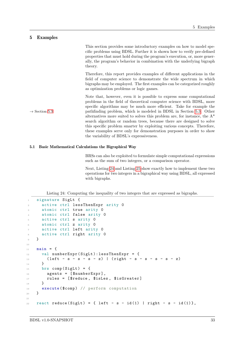### <span id="page-32-0"></span>5 Examples

|                           | This section provides some introductory examples on how to model spe-<br>cific problems using BDSL. Further it is shown how to verify pre-defined<br>properties that must hold during the program's execution, or, more gener-<br>ally, the program's behavior in combination with the underlying bigraph<br>theory.                                                                                                                                   |
|---------------------------|--------------------------------------------------------------------------------------------------------------------------------------------------------------------------------------------------------------------------------------------------------------------------------------------------------------------------------------------------------------------------------------------------------------------------------------------------------|
|                           | Therefore, this report provides examples of different applications in the<br>field of computer science to demonstrate the wide spectrum in which<br>bigraphs may be employed. The first examples can be categorized roughly<br>as optimization problems or logic games.                                                                                                                                                                                |
| $\rightarrow$ Section 5.3 | Note that, however, even it is possible to express some computational<br>problems in the field of theoretical computer science with BDSL, more<br>specific algorithms may be much more efficient. Take for example the<br>pathfinding problem, which is modeled in BDSL in Section 5.3. Other<br>alternatives more suited to solves this problem are, for instance, the $A^*$<br>search algorithm or random trees, because there are designed to solve |
|                           | this specific problem smarter by exploiting various concepts. Therefore,<br>these examples serve only for demonstration purposes in order to show<br>the variability of BDSL's expressiveness.                                                                                                                                                                                                                                                         |

### 5.1 Basic Mathematical Calculations the Bigraphical Way

<span id="page-32-1"></span>BRSs can also be exploited to formulate simple computational expressions such as the sum of two integers, or a comparison operator.

Next, Listing [24](#page-32-2) and Listing [25](#page-33-0) show exactly how to implement these two operations for two integers in a bigraphical way using BDSL, all expressed with bigraphs.

Listing 24: Computing the inequality of two integers that are expressed as bigraphs.

```
1 signature SigLt {
2 active ctrl lessThenExpr arity 0
3 atomic ctrl true arity 0
4 atomic ctrl false arity 0
5 active ctrl s arity 0
6 atomic ctrl z arity 0
7 active ctrl left arity 0
8 active ctrl right arity 0
9 \quad \mathcal{P}10
11 main = {
12 val numberExpr (SigLt): lessThenExpr = {
13 ( left - s - s - s - z) | (right - s - s - s - s - z)
14 }
15 brs comp (SigLt) = {
16 agents = [$numberExpr],
17 rules = [$reduce, $isLes, $isGreater]
18 }
19 execute ($comp) // perform computation
20 }
21
22 react reduce (SigLt) = { left - s - id(1) | right - s - id(1)},
```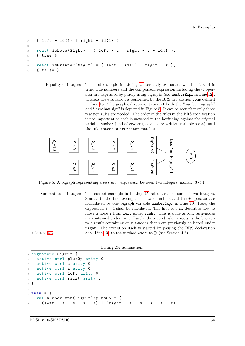```
23 { left - id (1) | right - id (1) }
24
25 react isLess (SigLt) = { left - z | right - s - id(1)},
26 { true }
27
28 react isGreater (SigLt) = { left - id(1) | right - z },
29 { false }
```
Equality of integers The first example in Listing [24](#page-32-2) basically evaluates, whether  $3 < 4$  is true. The numbers and the comparison expression including the < operator are expressed by purely using bigraphs (see numberExpr in Line [12\)](#page-32-3), whereas the evaluation is performed by the BRS declaration comp defined in Line [15.](#page-32-4) The graphical representation of both the "number bigraph" and "less-than sign" is depicted in Figure [5.](#page-33-1) It can be seen that only three reaction rules are needed. The order of the rules in the BRS specification is not important as each is matched in the beginning against the original variable number (and afterwards, also the re-written variable state) until the rule isLess or isGreater matches.

<span id="page-33-1"></span>

Figure 5: A bigraph representing a *less than expression* between two integers, namely,  $3 < 4$ .

Summation of integers The second example in Listing [25](#page-33-0) calculates the sum of two integers. Similar to the first example, the two numbers and the + operator are formulated by one bigraph variable numberExpr in Line [10.](#page-33-2) Here, the expression  $3 + 4$  shall be calculated. The first rule  $r1$  describes how to move a node s from left under right. This is done as long as s-nodes are contained under left. Lastly, the second rule r2 reduces the bigraph to a result containing only s-nodes that were previously collected under right. The execution itself is started by passing the BRS declaration  $\rightarrow$  Section [4.5](#page-31-0) sum (Line [13\)](#page-34-1) to the method execute() (see Section [4.5\)](#page-31-0).

Listing 25: Summation.

```
1 signature SigSum {
2 active ctrl plusOp arity 0
    active ctrl s arity 0
    active ctrl z arity 0
5 active ctrl left arity 0
6 active ctrl right arity 0
7 }
8
9 main = {
10 val numberExpr ( SigSum ) : plusOp = {
11 ( left - s - s - s - z) | (right - s - s - s - s - z)
```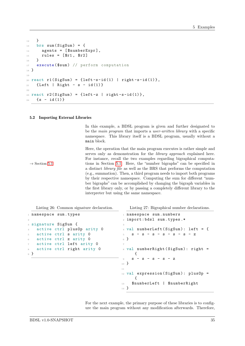```
12 }
13 brs sum (SigSum) = {
_{14} agents = [$numberExpr],
15 rules = [\$r1, \$r2]16 }
17 execute ($sum) // perform computation
18 }
19
_{20} react r1(SigSum) = {left-s-id(1) | right-s-id(1)},
21 {Left | Right - s - id(1)}22
23 react r2(SigSum) = \{left -z \mid right -s - id(1) \},
_{24} {s - id(1)}
```
#### 5.2 Importing External Libraries

<span id="page-34-0"></span>In this example, a BDSL program is given and further designated to be the main program that imports a user-written library with a specific namespace. This library itself is a BDSL program, usually without a main block.

Here, the operation that the main program executes is rather simple and serves only as demonstration for the library approach explained here. For instance, recall the two examples regarding bigraphical computa-  $\rightarrow$  Section [5.1](#page-32-1) tions in Section [5.1.](#page-32-1) Here, the "number bigraphs" can be specified in a distinct library file as well as the BRS that performs the computation (e.g., summation). Then, a third program needs to import both programs by their respective namespace. Computing the sum for different "number bigraphs" can be accomplished by changing the bigraph variables in the first library only, or by passing a completely different library to the interpreter but using the same namespace.

<span id="page-34-2"></span>Listing 26: Common signature declaration.

|                | 1 namespace sum.types                      |  |
|----------------|--------------------------------------------|--|
| $\overline{2}$ |                                            |  |
|                | 3 signature SigSum {                       |  |
|                | 4 active ctrl plus0p arity 0               |  |
|                | 5 active ctrl s arity 0                    |  |
|                | 6 active ctrl z arity 0                    |  |
|                | active ctrl left arity 0<br>$\overline{7}$ |  |
| 8              | active ctrl right arity 0                  |  |
|                | <sub>9</sub> }                             |  |
|                |                                            |  |

<span id="page-34-3"></span>Listing 27: Bigraphical number declarations.

```
1 namespace sum. numbers
2 import : bdsl sum. types .*
3
4 val numberLeft (SignSum): left = {
5 S - S - S - S - S - S - Z6 }
7
s val numberRight (SigSum): right =
     {
9 S - S - S - S - Z10 }
11
12 val expression (SigSum): plusOp =
     {
13 $numberLeft | $numberRight
14 }
```
For the next example, the primary purpose of these libraries is to configure the main program without any modification afterwards. Therefore,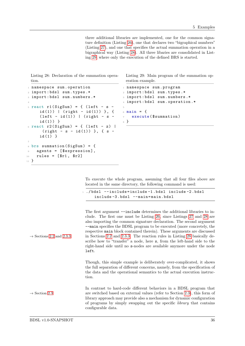three additional libraries are implemented, one for the common signature definition (Listing [26\)](#page-34-2), one that declares two "bigraphical numbers" (Listing [27\)](#page-34-3), and one that specifies the actual summation operation in a bigraphical way (Listing [28\)](#page-35-0). All three libaries are consolidated in Listing [29,](#page-35-1) where only the execution of the defined BRS is started.

<span id="page-35-0"></span>Listing 28: Declaration of the summation operation.

```
1 namespace sum. operation
2 import : bdsl sum. types .*
3 import : bdsl sum. numbers .*
4
5 react r1(SigSum) = { (left - s -
     id(1)) | (right - id(1)), {
     (left - id(1)) | (right - s -id (1) ) }
6 react r2(SigSum) = \{ (left - z) |
      (right - s - id(1)) }, { s -id(1) }
7
s brs summation (SigSum) = {
9 agents = [$expression],
10 rules = [$r1 , $r2]
11 }
```
<span id="page-35-1"></span>Listing 29: Main program of the summation operation example.

```
1 namespace sum. program
2 import : bdsl sum. types .*
3 import : bdsl sum. numbers .*
4 import : bdsl sum. operation .*
5
6 main = {
7 execute ( $summation )
\mathbb{R} }
```
To execute the whole program, assuming that all four files above are located in the same directory, the following command is used:

```
1 ./ bdsl -- include = include -1 .bdsl include -2 .bdsl
   include -3 .bdsl -- main = main.bdsl
```
The first argument  $\overline{-i}$ nclude determines the additional libraries to include. The first one must be Listing [26,](#page-34-2) since Listings [27](#page-34-3) and [28](#page-35-0) are also importing the common signature declaration. The second argument --main specifies the BDSL program to be executed (more concretely, the respective main block contained therein). These arguments are discussed  $\rightarrow$  Sections [2.2](#page-10-2) and [2.3.3](#page-15-0) in Sections 2.2 and [2.3.3.](#page-15-0) The reaction rules in Listing [28](#page-35-0) basically describe how to "transfer" a node, here s, from the left-hand side to the right-hand side until no s-nodes are available anymore under the node left.

> Though, this simple example is deliberately over-complicated, it shows the full separation of different concerns, namely, from the specification of the data and the operational semantics to the actual execution instruction.

In contrast to hard-code different behaviors in a BDSL program that  $\rightarrow$  Section [2.3](#page-12-0) are switched based on external values (refer to Section [2.3\)](#page-12-0), this form of library approach may provide also a mechanism for dynamic configuration of programs by simply swapping out the specific library that contains configurable data.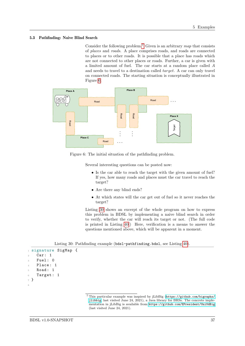#### 5.3 Pathfinding: Naive Blind Search

<span id="page-36-0"></span>Consider the following problem.<sup>[7](#page-36-1)</sup> Given is an arbitrary map that consists of places and roads. A place comprises roads, and roads are connected to places or to other roads. It is possible that a place has roads which are not connected to other places or roads. Further, a car is given with a limited amount of fuel. The car starts at a random place called and needs to travel to a destination called  $target$ . A car can only travel on connected roads. The starting situation is conceptually illustrated in Figure [6.](#page-36-2)

<span id="page-36-2"></span>

Figure 6: The initial situation of the pathfinding problem.

Several interesting questions can be posted now:

- Is the car able to reach the target with the given amount of fuel? If yes, how many roads and places must the car travel to reach the target?
- Are there any blind ends?
- At which states will the car get out of fuel so it never reaches the target?

Listing [30](#page-36-3) shows an excerpt of the whole program on how to express this problem in BDSL by implementing a naive blind search in order to verify, whether the car will reach its target or not. (The full code is printed in Listing [40.](#page-53-0)) Here, verification is a means to answer the questions mentioned above, which will be apparent in a moment.

Listing 30: Pathfinding example (bdsl-pathfinding.bdsl, see Listing [40\)](#page-53-0).

```
1 signature SigMap {
   Car: 1Fuel: 0
   Place: 1
   Road: 1
6 Target: 1
7 }
8
```
<span id="page-36-1"></span><sup>7</sup> This particular example was inspired by jLibBig ([https://github.com/bigraphs/](https://github.com/bigraphs/jlibbig) [jlibbig](https://github.com/bigraphs/jlibbig), last visited June 24, 2021), a Java library for BRSs. The concrete implementation in jLibBig is available from <https://github.com/EPresident/UniUdBig> (last visited June 24, 2021).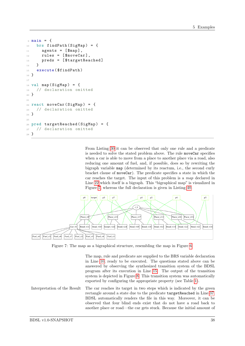```
9 main = {
10 brs findPath (SigMap) = {
11 agents = [$map],
12 rules = [\text{\$moveCar}],
13 preds = [$targetReached]
14 }
15 execute ($findPath)
16 }
17
18 val map (SigMap) = {
19 // declaration omitted
20 }
21
22 react moveCar (SigMap) = {
23 // declaration omitted
24 }
25
26 pred targetReached (SigMap) = {
27 // declaration omitted
28 }
```
<span id="page-37-0"></span>From Listing [30](#page-36-3) it can be observed that only one rule and a predicate is needed to solve the stated problem above. The rule moveCar specifies when a car is able to move from a place to another place via a road, also reducing one amount of fuel, and, if possible, does so by rewriting the bigraph variable map (determined by its reactum, i.e., the second curly bracket clause of moveCar). The predicate specifies a state in which the car reaches the target. The input of this problem is a map declared in Line [22](#page-53-1) which itself is a bigraph. This "bigraphical map" is visualized in Figure [7,](#page-37-0) whereas the full declaration is given in Listing [40.](#page-53-0)



Figure 7: The map as a bigraphical structure, resembling the map in Figure [6.](#page-36-2)

The map, rule and predicate are supplied to the BRS variable declaration in Line [10,](#page-53-2) ready to be executed. The questions stated above can be answered by observing the synthesized transition system of the BDSL program after its execution in Line [15.](#page-53-3) The output of the transition system is depicted in Figure [8.](#page-38-1) This transition system was automatically exported by configuring the appropriate property (see Table [1\)](#page-13-0).

Interpretation of the Result The car reaches its target in two steps which is indicated by the green rectangle around a state due to the predicate targetReached in Line [37.](#page-53-4) BDSL automatically renders the file in this way. Moreover, it can be observed that four blind ends exist that do not have a road back to another place or road—the car gets stuck. Because the initial amount of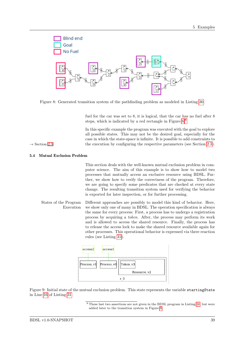<span id="page-38-1"></span>

Figure 8: Generated transition system of the pathfinding problem as modeled in Listing [30.](#page-36-3)

fuel for the car was set to 8, it is logical, that the car has no fuel after 8 steps, which is indicated by a red rectangle in Figure [8.](#page-38-1)[8](#page-38-2)

In this specific example the program was executed with the goal to explore all possible states. This may not be the desired goal, especially for the case in which the state-space is infinite. It is possible to add constraints to  $\rightarrow$  Section [2.3](#page-12-0) the execution by configuring the respective parameters (see Section [2.3\)](#page-12-0).

#### 5.4 Mutual Exclusion Problem

<span id="page-38-0"></span>This section deals with the well-known mutual exclusion problem in computer science. The aim of this example is to show how to model two processes that mutually access an exclusive resource using BDSL. Further, we show how to verify the correctness of the program. Therefore, we are going to specify some predicates that are checked at every state change. The resulting transition system used for verifying the behavior is exported for later inspection, or for further processing.

States of the Program Different approaches are possibly to model this kind of behavior. Here, Execution we show only one of many in BDSL. The operation specification is always the same for every process: First, a process has to undergo a registration process by acquiring a token. After, the process may perform its work and is allowed to access the shared resource. Finally, the process has to release the access lock to make the shared resource available again for other processes. This operational behavior is expressed via three reaction rules (see Listing [31\)](#page-39-0).

<span id="page-38-3"></span>

Figure 9: Initial state of the mutual exclusion problem. This state represents the variable startingState in Line [16](#page-39-1) of Listing [31.](#page-39-0)

<span id="page-38-2"></span><sup>8</sup> These last two assertions are not given in the BDSL program in Listing [30,](#page-36-3) but were added later to the transition system in Figure [8.](#page-38-1)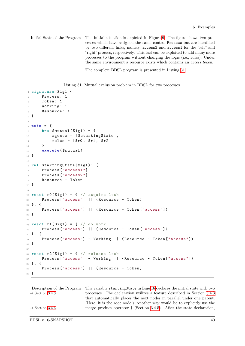Initial State of the Program The initial situation is depicted in Figure [9.](#page-38-3) The figure shows two processes which have assigned the same control Process but are identified by two different links, namely, access2 and access1 for the "left" and "right" process, respectively. This fact can be exploited to add many more processes to the program without changing the logic (i.e., rules). Under the same environment a resource exists which contains an access token.

The complete BDSL program is presented in Listing [31.](#page-39-0)

Listing 31: Mutual exclusion problem in BDSL for two processes.

```
1 signature Sig1 {
      Process: 1
3 Token : 1
      Working: 1
5 Resource: 1
6 }
7
s main = {
9 \text{ brs } \$ \text{mutual} (Sig1) = \{10 agents = [$startingState],
11 rules = [$r0 , $r1 , $r2]
\overline{12} }
13 execute ($mutual)
14 }
15
16 val startingState (Sig1): {
17 Process ["access1"]
18 Process ["access2"]
19 Resource - Token
20 }
21
22 react r0(Sig1) = {1 / 2c} acquire lock
23 Process [" access "] || ( Resource - Token )
24 }, {
25 Process [" access "] || ( Resource - Token [" access "])
26 }
27
28 react r1(Sig1) = { // do work
29 Process [" access "] || ( Resource - Token [" access "])
30 }, {
31 Process [" access "] - Working || ( Resource - Token [" access "])
32 }
33
34 react r2(Sig1) = {1 / 2} release lock
35 Process [" access "] - Working || ( Resource - Token [" access "])
36 }, {
37 Process ["access"] | | (Resource - Token)
38 }
```
<span id="page-39-4"></span><span id="page-39-3"></span><span id="page-39-2"></span>Description of the Program The variable startingState in Line [16](#page-39-1) declares the initial state with two  $\rightarrow$  Section [3.4.3](#page-23-0) processes. The declaration utilizes a feature described in Section 3.4.3 that automatically places the next nodes in parallel under one parent. (Here, it is the root node.) Another way would be to explicitly use the  $\rightarrow$  Section [3.4.5](#page-24-0) merge product operator | (Section [3.4.5\)](#page-24-0). After the state declaration,

BDSL v1.0-SNAPSHOT 40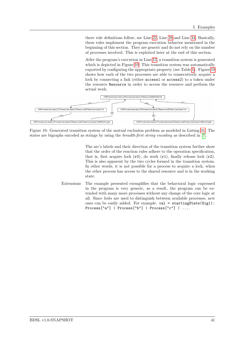three rule definitions follow, see Line [22,](#page-39-2) Line [28](#page-39-3) and Line [34.](#page-39-4) Basically, these rules implement the program execution behavior mentioned in the beginning of this section. They are generic and do not rely on the number of processes involved. This is exploited later at the end of this section.

<span id="page-40-0"></span>Atfer the program's execution in Line [13,](#page-39-5) a transition system is generated which is depicted in Figure [10.](#page-40-0) This transition system was automatically exported by configuring the appropriate property (see Table [1\)](#page-13-0). Figure [10](#page-40-0) shows how each of the two processes are able to consecutively acquire a lock by connecting a link (either  $access1$  or  $access2$ ) to a token under the resource Resource in order to access the resource and perform the actual work.



Figure 10: Generated transition system of the mutual exclusion problem as modeled in Listing [31.](#page-39-0) The states are bigraphs encoded as strings by using the breadth-first string encoding as described in [\[7\]](#page-48-15).

The arc's labels and their direction of the transition system further show that the order of the reaction rules adhere to the operation specification, that is, first acquire lock  $(0)$ , do work  $(0)$ , finally release lock  $(0)$ . This is also apparent by the two cycles formed in the transition system. In other words, it is not possible for a process to acquire a lock, when the other process has access to the shared resource and is in the working state.

Extensions The example presented exemplifies that the behavioral logic expressed in the program is very generic, as a result, the program can be extended with many more processes without any change of the core logic at all. Since links are used to distinguish between available processes, new ones can be easily added. For example: val = startingState(Sig1): Process["a"] | Process["b"] | Process["c"] | ....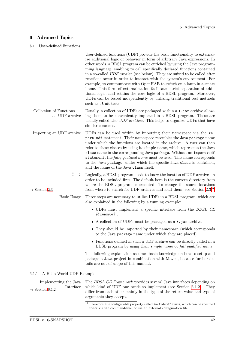### 6 Advanced Topics

#### 6.1 User-defined Functions

<span id="page-41-1"></span><span id="page-41-0"></span>User-defined functions (UDF) provide the basic functionality to externalize additional logic or behavior in form of arbitrary Java expressions. In other words, a BDSL program can be enriched by using the Java programming language, enabling to call specifically declared functions contained in a so-called UDF archive (see below). They are suited to be called after reactions occur in order to interact with the system's environment. For example, to communicate with OpenHAB to switch on a lamp in a smart home. This form of externalization facilitates strict separation of additional logic, and retains the core logic of a BDSL program. Moreover, UDFs can be tested independently by utilizing traditional test methods such as JUnit tests.

- Collection of Functions  $\ldots$  Usually, a collection of UDFs are packaged within a  $\ast$ , jar archive allow-... UDF archive ing them to be conveniently imported in a BDSL program. These are usually called also UDF archives. This helps to organize UDFs that have similar concerns.
- Importing an UDF archive UDFs can be used within by importing their namespace via the import:udf statement. Their namespace resembles the Java package name under which the functions are located in the archive. A user can then refer to these classes by using its simple name, which represents the Java class name in the corresponding Java package. Without an import:udf statement, the fully qualified name must be used. This name corresponds to the Java package, under which the specific Java class is contained, and the name of the Java class itself.
- $! \rightarrow \text{Logically, a BDSL program needs to know the location of UDF archives in }$ order to be included first. The default here is the current directory from where the BDSL program is executed. To change the source locations  $\rightarrow$  Section 2.3 from where to search for UDF archives and load them, see Section [2.3.](#page-12-0)  $\overline{9}$  $\overline{9}$  $\overline{9}$ 
	- Basic Usage Three steps are necessary to utilize UDFs in a BDSL program, which are also explained in the following by a running example:
		- UDFs must implement a specific interface from the BDSL CE Framework .
		- A collection of UDFs must be packaged as a \*.jar archive.
		- They should be imported by their namespace (which corresponds to the Java package name under which they are placed).
		- Functions defined in such a UDF archive can be directly called in a BDSL program by using their simple name or full qualified name.

The following explanation assumes basic knowledge on how to setup and package a Java project in combination with Maven, because further details are out of scope of this manual.

### 6.1.1 A Hello-World UDF Example

Implementing the Java The BDSL CE Framework provides several Java interfaces depending on  $\rightarrow$  Section 6.1.2 Interface which kind of UDF one needs to implement (see Section [6.1.2\)](#page-43-2). They differ from each other mainly in the type of the return value and type of arguments they accept.

<span id="page-41-2"></span><sup>&</sup>lt;sup>9</sup> Therefore, the configurable property called includeUdf exists, which can be specified either via the command-line, or via an external configuration file.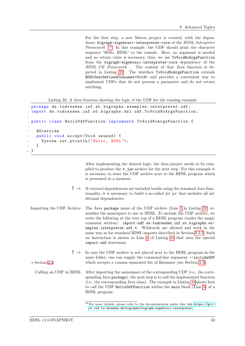For the first step, a new Maven project is created, with the dependency bigraph-algebraic-interpreter-core of the BDSL Interpreter Framework  $^{10}$  $^{10}$  $^{10}$  In this example, the UDF should print the character sequence "Hello, BDSL" to the console. Here, no argument is needed and no return value is necessary, thus, we use ToVoidNoArgsFunction from the bigraph-algebraic-interpreter-core dependency of the BDSL CE Framework . The content of that Java function is depicted in Listing [32.](#page-42-1) The interface ToVoidNoArgsFunction extends BDSLUserDefinedConsumer<Void> and provides a convenient way to implement UDFs that do not process a parameter and do not return anything.

Listing 32: A Java function showing the logic of the UDF for the running example.

```
1 package de.tudresden.inf.st.bigraphs.examples.interpreter.udf;
2 import de . tudresden . inf . st . bigraphs . dsl . udf . ToVoidNoArgsFunction ;
3
4 public class HelloUdfFunction implements ToVoidNoArgsFunction {
5
6 @Override
    public void accept (Void unused) {
8 System.out.println ("Hello, BDSL");
\circ }
10 }
```
After implementing the desired logic, the Java project needs to be compiled to produce the \*.jar archive for the next step. For this example it is necessary to store the UDF archive next to the BDSL program which is presented in a moment.

- $! \rightarrow$  If external dependencies are included beside using the standard Java functionality, it is necessary to build a so-called fat jar that includes all additional dependencies.
- Importing the UDF Archive The Java package name of the UDF archive (Line [1](#page-42-2) in Listing [32\)](#page-42-1) resembles the namespace to use in BDSL. To include the UDF archive, we write the following at the very top of a BDSL program (under the magic comment section): import:udf de.tudresden.inf.st.bigraphs.examples.interpreter.udf.\*. Wildcards are allowed and work in the same way as for standard BDSL imports described in Section [3.3.3.](#page-20-1) Such an instruction is shown in Line [1](#page-43-3) of Listing [33](#page-43-1) that uses the special import:udf statement.
- $! \rightarrow \text{In case the UDF archive is not placed next to the BDSL program in the}$ same folder, one can supply the command-line argument --includeUDF  $\rightarrow$  Section [2.3](#page-12-0) which accepts a comma separated list of filenames (see Section [2.3\)](#page-12-0).
	- Calling an UDF in BDSL After importing the namespace of the corresponding UDF (i.e., the corresponding Java package), the next step is to call the implemented function (i.e., the corresponding Java class). The example in Listing [33](#page-43-1) shows how to call the UDF HelloUdfFunction within the main block (Line [5\)](#page-43-4) of a BDSL program.

<span id="page-42-0"></span> $10$  For more details, please refer to the documentation under this link [https://git](https://git-st.inf.tu-dresden.de/bigraphs/bigraph-algebraic-interpreter)[st.inf.tu-dresden.de/bigraphs/bigraph-algebraic-interpreter](https://git-st.inf.tu-dresden.de/bigraphs/bigraph-algebraic-interpreter).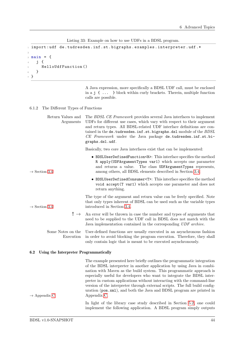Listing 33: Example on how to use UDFs in a BDSL program.

```
1 import:udf de.tudresden.inf.st.bigraphs.examples.interpreter.udf.*
2
3 main = {
4 j {
5 HelloUdfFunction ()
6 }
7 }
```
<span id="page-43-2"></span>A Java expression, more specifically a BDSL UDF call, must be enclosed in a j { ... } block within curly brackets. Therein, multiple function calls are possible.

6.1.2 The Different Types of Functions

| Return Values and<br>Arguments                               | The BDSL CE Framework provides several Java interfaces to implement<br>UDFs for different use cases, which vary with respect to their argument<br>and return types. All BDSL-related UDF interface definitions are con-<br>tained in the de.tudresden.inf.st.bigraphs.dsl module of the BDSL<br>CE Framework under the Java package de.tudresden.inf.st.bi-<br>graphs.dsl.udf.  |
|--------------------------------------------------------------|---------------------------------------------------------------------------------------------------------------------------------------------------------------------------------------------------------------------------------------------------------------------------------------------------------------------------------------------------------------------------------|
|                                                              | Basically, two core Java interfaces exist that can be implemented:                                                                                                                                                                                                                                                                                                              |
| $\rightarrow$ Section 3.4                                    | • BDSLUserDefinedFunction <r>: This interface specifies the method<br/>R apply (UDFArgumentTypes var1) which accepts one parameter<br/>The class UDFArgumentTypes represents,<br/>and returns a value.<br/>among others, all BDSL elements described in Section 3.4.</r>                                                                                                        |
|                                                              | • BDSLUserDefinedConsumer <t>: This interface specifies the method<br/>void accept (T var1) which accepts one parameter and does not<br/>return anything.</t>                                                                                                                                                                                                                   |
| $\rightarrow$ Section 3.4                                    | The type of the argument and return value can be freely specified. Note<br>that only types inherent of BDSL can be used such as the variable types<br>introduced in Section 3.4.                                                                                                                                                                                                |
| ! $\rightarrow$                                              | An error will be thrown in case the number and types of arguments that<br>need to be supplied to the UDF call in BDSL does not match with the<br>Java implementation contained in the corresponding UDF archive.                                                                                                                                                                |
| Some Notes on the<br>Execution                               | User-defined functions are usually executed in an asynchronous fashion<br>in order to avoid blocking the program execution. Therefore, they shall<br>only contain logic that is meant to be executed asynchronously.                                                                                                                                                            |
| $\boldsymbol{6.2}$<br>Using the Interpreter Programmatically |                                                                                                                                                                                                                                                                                                                                                                                 |
|                                                              | The example presented here briefly outlines the programmatic integration<br>of the BDSL interpreter in another application by using Java in combi-<br>nation with Maven as the build system. This programmatic approach is<br>especially useful for developers who want to integrate the BDSL inter-<br>preter in custom applications without interacting with the command-line |

preter in custom applications without interacting with the command-line version of the interpreter through external scripts. The full build configuration (pom.xml), and both the Java and BDSL program are printed in  $\rightarrow$  Appendix [C](#page-54-0).

> <span id="page-43-0"></span>In light of the library case study described in Section [5.2,](#page-34-0) one could implement the following application. A BDSL program simply outputs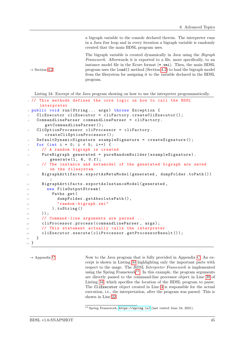a bigraph variable to the console declared therein. The interpreter runs in a Java for loop and in every iteration a bigraph variable is randomly created that the main BDSL program uses.

The bigraph variable is created dynamically in Java using the Bigraph Framework. Afterwards it is exported to a file, more specifically, to an instance model file in the Ecore format (\*.xmi). Then, the main BDSL  $\rightarrow$  Section [4.2](#page-28-2) program uses the load() method (Section [4.2\)](#page-28-2) to load the bigraph model from the filesystem for assigning it to the variable declared in the BDSL program.

<span id="page-44-0"></span>Listing 34: Excerpt of the Java program showing on how to use the interpreter programmatically.

```
1 // This methods defines the core logic on how to call the BDSL
     interpreter
 public void run (String ... args) throws Exception {
   CliExecutor cliExecutor = cliFactory.createCliExecutor ();
    CommandLineParser commandLineParser = cliFactory.
       getCommandLineParser () ;
    CliOptionProcessor cliProcessor = cliFactory.
       createCliOptionProcessor () ;
6 DefaultDynamicSignature exampleSignature = createSignature () ;
   for (int i = 0; i < 5; i++) {
      8 // A random bigraph is created
9 PureBigraph generated = pureRandomBuilder (exampleSignature).
         generate (1, 6, 0.f);10 // The instance and metamodel of the generated bigraph are saved
         on the filesystem
11 BigraphArtifacts . exportAsMetaModel (generated, dumpFolder . toPath ())
         ;
12 BigraphArtifacts.exportAsInstanceModel (generated,
13 new FileOutputStream (
14 Paths . get (
15 dumpFolder.getAbsolutePath(),
16 "random-bigraph.xmi"
17 ).toString ()
18 ) );
19 // Command-line arguments are parsed ...
20 cliProcessor . process ( commandLineParser , args ) ;
21 // This statement actually calls the interpreter
22 cliExecutor . execute ( cliProcessor . getProcessorResult () );
23 }
24 }
```
<span id="page-44-4"></span><span id="page-44-2"></span> $\rightarrow$  Appendix [C](#page-54-0) Now to the Java program that is fully provided in Appendix [C.](#page-54-0) An excerpt is shown in Listing [34](#page-44-0) highlighting only the important parts with respect to the usage. The BDSL Interpreter Framework is implemented using the Spring Framework<sup>[11](#page-44-1)</sup>. In this example, the program arguments are directly passed to the command-line processor object in Line [20](#page-44-2) of Listing [34,](#page-44-0) which specifies the location of the BDSL program to parse. The CliExecutor object created in Line [3](#page-44-3) is responsible for the actual execution, i.e., the interpretation, after the program was parsed. This is shown in Line [22.](#page-44-4)

<span id="page-44-1"></span><sup>11</sup> Spring Framework, <https://spring.io/> (last visited June 24, 2021).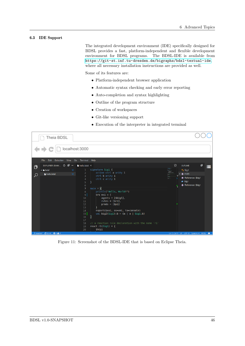### 6.3 IDE Support

<span id="page-45-0"></span>The integrated development environment (IDE) specifically designed for BDSL provides a fast, platform-independent and flexible development environment for BDSL programs. The BDSL-IDE is available from <https://git-st.inf.tu-dresden.de/bigraphs/bdsl-textual-ide>, where all necessary installation instructions are provided as well.

Some of its features are:

- Platform-independent browser application
- Automatic syntax checking and early error reporting
- Auto-completion and syntax highlighting
- Outline of the program structure
- Creation of workspaces
- Git-like versioning support
- Execution of the interpreter in integrated terminal



Figure 11: Screenshot of the BDSL-IDE that is based on Eclipse Theia.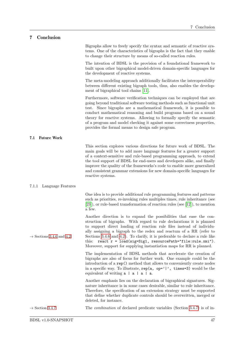# <span id="page-46-0"></span>7 Conclusion

<span id="page-46-1"></span>

|                                      | Bigraphs allow to freely specify the syntax and semantic of reactive sys-<br>tems. One of the characteristics of bigraphs is the fact that they enable<br>to change their structure by means of so-called reaction rules.                                                                                                                                                                                                                                                                                                 |
|--------------------------------------|---------------------------------------------------------------------------------------------------------------------------------------------------------------------------------------------------------------------------------------------------------------------------------------------------------------------------------------------------------------------------------------------------------------------------------------------------------------------------------------------------------------------------|
|                                      | The intention of BDSL is the provision of a foundational framework to<br>built upon other bigraphical model-driven domain-specific languages for<br>the development of reactive systems.                                                                                                                                                                                                                                                                                                                                  |
|                                      | The meta-modeling approach additionally facilitates the interoperability<br>between different existing bigraph tools, thus, also enables the develop-<br>ment of bigraphical tool chains [11].                                                                                                                                                                                                                                                                                                                            |
|                                      | Furthermore, software verification techniques can be employed that are<br>going beyond traditional software testing methods such as functional unit<br>test. Since bigraphs are a mathematical framework, it is possible to<br>conduct mathematical reasoning and build programs based on a sound<br>theory for reactive systems. Allowing to formally specify the semantic<br>of a program and model checking it against some correctness properties,<br>provides the formal means to design safe program.               |
| <b>Future Work</b><br>7.1            |                                                                                                                                                                                                                                                                                                                                                                                                                                                                                                                           |
|                                      | This section explores various directions for future work of BDSL. The<br>main goals will be to add more language features for a greater support<br>of a context-sensitive and rule-based programming approach, to extend<br>the tool support of BDSL for end-users and developers alike, and finally<br>improve the quality of the frameworks's code to enable more generalized<br>and consistent grammar extensions for new domain-specific languages for<br>reactive systems.                                           |
| Language Features<br>7.1.1           |                                                                                                                                                                                                                                                                                                                                                                                                                                                                                                                           |
|                                      | One idea is to provide additional rule programming features and patterns<br>such as priorities, re-invoking rules multiples times, rule inheritance (see<br>$[23]$ , or rule-based transformation of reaction rules (see [12]), to mention<br>a few.                                                                                                                                                                                                                                                                      |
| $\rightarrow$ Sections 3.4.6 and 4.2 | Another direction is to expand the possibilities that ease the con-<br>struction of bigraphs. With regard to rule declarations it is planned<br>to support direct loading of reaction rule files instead of individu-<br>ally assigning a bigraph to the redex and reactum of a RR (refer to<br>Sections 3.4.6 and 4.2). To clarify, it is preferable to declare a rule like<br>this: react $r = load(sig=Sig1, resourcePath="file: rule.xml").$<br>Moreover, support for supplying instantiation maps for RR is planned. |
|                                      | The implementation of BDSL methods that accelerate the creation of<br>bigraphs are also of focus for further work. One example could be the<br>introduction of a rep() method that allows to conveniently create nodes<br>in a specific way. To illustrate, $rep(a, op=' ', times=3)$ would be the<br>equivalent of writing $a \mid a \mid a \mid a$ .                                                                                                                                                                    |
|                                      | Another emphasis lies on the declaration of bigraphical signatures. Sig-<br>nature inheritance is in some cases desirable, similar to rule inheritance.<br>Therefore, the specification of an extension strategy must be supported                                                                                                                                                                                                                                                                                        |
|                                      | that define whether duplicate controls should be overwritten, merged or<br>deleted, for instance.                                                                                                                                                                                                                                                                                                                                                                                                                         |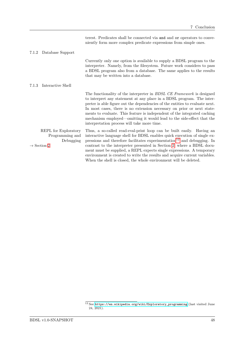|       |                                                                                 | terest. Predicates shall be connected via and and or operators to conve-<br>niently form more complex predicate expressions from simple ones.                                                                                                                                                                                                                                                                                                                                                                                                  |
|-------|---------------------------------------------------------------------------------|------------------------------------------------------------------------------------------------------------------------------------------------------------------------------------------------------------------------------------------------------------------------------------------------------------------------------------------------------------------------------------------------------------------------------------------------------------------------------------------------------------------------------------------------|
| 7.1.2 | Database Support                                                                |                                                                                                                                                                                                                                                                                                                                                                                                                                                                                                                                                |
|       |                                                                                 | Currently only one option is available to supply a BDSL program to the<br>interpreter. Namely, from the filesystem. Future work considers to pass<br>a BDSL program also from a database. The same applies to the results<br>that may be written into a database.                                                                                                                                                                                                                                                                              |
| 7.1.3 | Interactive Shell                                                               |                                                                                                                                                                                                                                                                                                                                                                                                                                                                                                                                                |
|       |                                                                                 | The functionality of the interpreter in <i>BDSL CE Framework</i> is designed<br>to interpret any statement at any place in a BDSL program. The inter-<br>preter is able figure out the dependencies of the entities to evaluate next.<br>In most cases, there is no extension necessary on prior or next state-<br>ments to evaluate. This feature is independent of the integrated caching<br>mechanism employed—omitting it would lead to the side-effect that the<br>interpretation process will take more time.                            |
|       | REPL for Exploratory<br>Programming and<br>Debugging<br>$\rightarrow$ Section 2 | Thus, a so-called read-eval-print loop can be built easily. Having an<br>interactive language shell for BDSL enables quick execution of single ex-<br>pressions and therefore facilitates experimentation <sup>12</sup> and debugging. In<br>contrast to the interpreter presented in Section 2, where a BDSL docu-<br>ment must be supplied, a REPL expects single expressions. A temporary<br>environment is created to write the results and acquire current variables.<br>When the shell is closed, the whole environment will be deleted. |

<span id="page-47-0"></span><sup>&</sup>lt;sup>12</sup> See [https://en.wikipedia.org/wiki/Exploratory\\_programming](https://en.wikipedia.org/wiki/Exploratory_programming) (last visited June 24, 2021).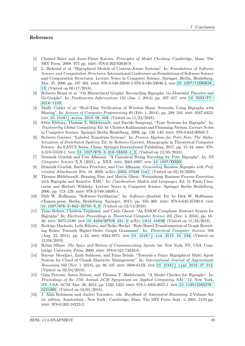- <span id="page-48-10"></span><span id="page-48-0"></span>[1] Christel Baier and Joost-Pieter Katoen. Principles of Model Checking. Cambridge, Mass: The MIT Press, 2008. 975 pp. isbn: 978-0-262-02649-9.
- <span id="page-48-3"></span>[2] L. Birkedal et al. "Bigraphical Models of Context-Aware Systems". In: Foundations of Software Science and Computation Structures. International Conference on Foundations of Software Science and Computation Structures. Lecture Notes in Computer Science. Springer, Berlin, Heidelberg, Mar. 25, 2006, pp. 187-201. ISBN: 978-3-540-33045-5 978-3-540-33046-2. DOI: [10.1007/11690634\\_](https://doi.org/10.1007/11690634_13) [13](https://doi.org/10.1007/11690634_13). (Visited on 08/17/2018).
- <span id="page-48-2"></span>[3] Roberto Bruni et al. "On Hierarchical Graphs: Reconciling Bigraphs, Gs-Monoidal Theories and Gs-Graphs". In: Fundamenta Informaticae 134 (Jan. 1, 2014), pp. 287–317. DOI: [10.3233/FI-](https://doi.org/10.3233/FI-2014-1103)[2014-1103](https://doi.org/10.3233/FI-2014-1103).
- <span id="page-48-5"></span>[4] Muffy Calder et al. "Real-Time Verification of Wireless Home Networks Using Bigraphs with Sharing". In: Science of Computer Programming 80 (Feb. 1, 2014), pp. 288–310. issn: 0167-6423. DOI: [10.1016/j.scico.2013.08.004](https://doi.org/10.1016/j.scico.2013.08.004). (Visited on 11/23/2018).
- <span id="page-48-12"></span>[5] Ebbe Elsborg, Thomas T. Hildebrandt, and Davide Sangiorgi. "Type Systems for Bigraphs". In: Trustworthy Global Computing. Ed. by Christos Kaklamanis and Flemming Nielson. Lecture Notes in Computer Science. Springer Berlin Heidelberg, 2009, pp. 126–140. isbn: 978-3-642-00945-7.
- <span id="page-48-7"></span>[6] Roberto Gorrieri. "Labeled Transition Systems". In: Process Algebras for Petri Nets: The Alphabetization of Distributed Systems. Ed. by Roberto Gorrieri. Monographs in Theoretical Computer Science. An EATCS Series. Cham: Springer International Publishing, 2017, pp. 15–34. ISBN: 978- $3-319-55559-1$ . DOI:  $10.1007/978-3-319-55559-1$ <sub>2</sub>. (Visited on  $12/05/2018$ ).
- <span id="page-48-15"></span>[7] Dominik Grzelak and Uwe Aßmann. "A Canonical String Encoding for Pure Bigraphs". In: SN Computer Science X.X (2021), p. XXX. issn: 2661-8907. doi: [10.1007/XXXXX](https://doi.org/10.1007/XXXXX).
- <span id="page-48-13"></span>[8] Dominik Grzelak, Barbara Priwitzer, and Uwe Aßmann. Generating Random Bigraphs with Preferential Attachment. Feb. 18, 2020. arXiv: [2002.07448 \[cs\]](https://arxiv.org/abs/2002.07448). (Visited on 02/19/2020).
- <span id="page-48-6"></span>[9] Thomas Hildebrandt, Henning Niss, and Martin Olsen. "Formalising Business Process Execution with Bigraphs and Reactive XML". In: *Coordination Models and Languages*. Ed. by Paolo Ciancarini and Herbert Wiklicky. Lecture Notes in Computer Science. Springer Berlin Heidelberg, 2006, pp. 113–129. isbn: 978-3-540-34695-1.
- <span id="page-48-9"></span>[10] Dirk W. Hoffmann. "Software-Verifikation". In: Software-Qualität. Ed. by Dirk W. Hoffmann. eXamen.press. Berlin, Heidelberg: Springer, 2013, pp. 333–369. isbn: 978-3-642-35700-8. doi: [10.1007/978-3-642-35700-8\\_6](https://doi.org/10.1007/978-3-642-35700-8_6). (Visited on 12/14/2019).
- <span id="page-48-11"></span>[11] Timo Kehrer, Christos Tsigkanos, and Carlo Ghezzi. "An EMOF-Compliant Abstract Syntax for Bigraphs". In: Electronic Proceedings in Theoretical Computer Science 231 (Dec. 4, 2016), pp. 16– 30. issn: 2075-2180. doi: [10.4204/EPTCS.231.2](https://doi.org/10.4204/EPTCS.231.2). arXiv: [1612.01638](https://arxiv.org/abs/1612.01638). (Visited on 11/23/2018).
- <span id="page-48-16"></span>[12] Rodrigo Machado, Leila Ribeiro, and Reiko Heckel. "Rule-Based Transformation of Graph Rewriting Rules: Towards Higher-Order Graph Grammars". In: Theoretical Computer Science 594 (Aug. 23, 2015), pp. 1–23. issn: 0304-3975. doi: [10.1016/j.tcs.2015.01.034](https://doi.org/10.1016/j.tcs.2015.01.034). (Visited on 12/04/2019).
- <span id="page-48-1"></span>[13] Robin Milner. The Space and Motion of Communicating Agents. 1st. New York, NY, USA: Cambridge University Press, 2009. isbn: 978-0-521-73833-0.
- <span id="page-48-4"></span>[14] Rayene Moudjari, Zaidi Sahnoun, and Faiza Belala. "Towards a Fuzzy Bigraphical Multi Agent System for Cloud of Clouds Elasticity Management". In: International Journal of Approximate Reasoning 102 (Nov. 1, 2018), pp. 86-107. ISSN: 0888-613X. DOI: [10.1016/j.ijar.2018.07.012](https://doi.org/10.1016/j.ijar.2018.07.012). (Visited on 02/04/2019).
- <span id="page-48-14"></span>[15] Gian Perrone, Søren Debois, and Thomas T. Hildebrandt. "A Model Checker for Bigraphs". In: Proceedings of the 27th Annual ACM Symposium on Applied Computing. SAC '12. New York, NY, USA: ACM, Mar. 26, 2012, pp. 1320–1325. isbn: 978-1-4503-0857-1. doi: [10.1145/2245276.](https://doi.org/10.1145/2245276.2231985) [2231985](https://doi.org/10.1145/2245276.2231985). (Visited on 10/01/2018).
- <span id="page-48-8"></span>[16] J. Alan Robinson and Andrei Voronkov, eds. Handbook of Automated Reasoning. 2-Volume Set ed. edition. Amsterdam ; New York : Cambridge, Mass: The MIT Press, Sept. 1, 2001. 2150 pp. isbn: 978-0-262-18223-2.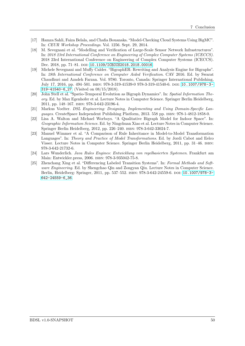- <span id="page-49-0"></span>[17] Hamza Sahli, Faiza Belala, and Chafia Bouanaka. "Model-Checking Cloud Systems Using BigMC". In: CEUR Workshop Proceedings. Vol. 1256. Sept. 29, 2014.
- <span id="page-49-1"></span>[18] M. Sevegnani et al. "Modelling and Verification of Large-Scale Sensor Network Infrastructures". In: 2018 23rd International Conference on Engineering of Complex Computer Systems (ICECCS). 2018 23rd International Conference on Engineering of Complex Computer Systems (ICECCS). Dec. 2018, pp. 71-81. DOI: [10.1109/ICECCS2018.2018.00016](https://doi.org/10.1109/ICECCS2018.2018.00016).
- <span id="page-49-6"></span>[19] Michele Sevegnani and Muffy Calder. "BigraphER: Rewriting and Analysis Engine for Bigraphs". In: 28th International Conference on Computer Aided Verification. CAV 2016. Ed. by Swarat Chaudhuri and Azadeh Farzan. Vol. 9780. Toronto, Canada: Springer International Publishing, July 17, 2016, pp. 494–501. isbn: 978-3-319-41539-0 978-3-319-41540-6. doi: [10.1007/978- 3-](https://doi.org/10.1007/978-3-319-41540-6_27) [319-41540-6\\_27](https://doi.org/10.1007/978-3-319-41540-6_27). (Visited on 08/15/2018).
- <span id="page-49-3"></span>[20] John Stell et al. "Spatio-Temporal Evolution as Bigraph Dynamics". In: Spatial Information Theory. Ed. by Max Egenhofer et al. Lecture Notes in Computer Science. Springer Berlin Heidelberg, 2011, pp. 148–167. isbn: 978-3-642-23196-4.
- <span id="page-49-7"></span>[21] Markus Voelter. DSL Engineering: Designing, Implementing and Using Domain-Specific Languages. CreateSpace Independent Publishing Platform, 2013. 558 pp. ISBN: 978-1-4812-1858-0.
- <span id="page-49-2"></span>[22] Lisa A. Walton and Michael Worboys. "A Qualitative Bigraph Model for Indoor Space". In: Geographic Information Science. Ed. by Ningchuan Xiao et al. Lecture Notes in Computer Science. Springer Berlin Heidelberg, 2012, pp. 226–240. isbn: 978-3-642-33024-7.
- <span id="page-49-8"></span>[23] Manuel Wimmer et al. "A Comparison of Rule Inheritance in Model-to-Model Transformation Languages". In: Theory and Practice of Model Transformations. Ed. by Jordi Cabot and Eelco Visser. Lecture Notes in Computer Science. Springer Berlin Heidelberg, 2011, pp. 31–46. isbn: 978-3-642-21732-6.
- <span id="page-49-5"></span>[24] Lars Wunderlich. Java Rules Engines: Entwicklung von regelbasierten Systemen. Frankfurt am Main: Entwickler.press, 2006. isbn: 978-3-935042-75-8.
- <span id="page-49-4"></span>[25] Zhenchang Xing et al. "Differencing Labeled Transition Systems". In: Formal Methods and Software Engineering. Ed. by Shengchao Qin and Zongyan Qiu. Lecture Notes in Computer Science. Berlin, Heidelberg: Springer, 2011, pp. 537–552. isbn: 978-3-642-24559-6. doi: [10.1007/978-3-](https://doi.org/10.1007/978-3-642-24559-6_36) [642-24559-6\\_36](https://doi.org/10.1007/978-3-642-24559-6_36).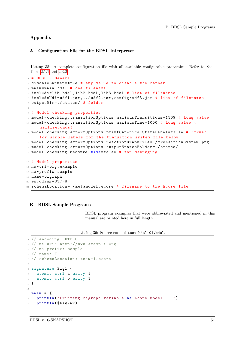### Appendix

### <span id="page-50-0"></span>A Configuration File for the BDSL Interpreter

<span id="page-50-3"></span>Listing 35: A complete configuration file with all available configurable properties. Refer to Sections [2.1.1](#page-10-3) and [2.3.2.](#page-14-1)

```
1 # BDSL - General
2 disableBanner=true # any value to disable the banner
3 main = main . bdsl # one filename
4 include = lib . bdsl , lib2 . bdsl , lib3 . bdsl # list of filenames
5 includeUdf = udf1 . jar ,../ udf2 . jar , config / udf3 . jar # list of filenames
6 outputDir =./ states / # folder
7
8 # Model checking properties
9 model - checking . transitionOptions . maximumTransitions =1309 # Long value
10 model-checking .transitionOptions .maximumTime=1000 # Long value (
     milliseconds )
11 model-checking.exportOptions.printCanonicalStateLabel=false # "true"
     for simple labels for the transition system file below
12 model-checking.exportOptions.reactionGraphFile=./transitionSystem.png
13 model-checking.exportOptions.outputStatesFolder=./states/
14 model-checking.measure-time=false # for debugging
15
16 # Model properties
17 ns-uri=org.example
18 ns - prefix = sample
19 name = bigraph
20 encoding=UTF-8
21 schemaLocation =./ metamodel . ecore # filename to the Ecore file
```
#### B BDSL Sample Programs

<span id="page-50-1"></span>BDSL program examples that were abbreviated and mentioned in this manual are printed here in full length.

Listing 36: Source code of test\_bdsl\_01.bdsl.

```
1 // encoding: UTF-8
2 // ns -uri: http :// www. example .org
3 // ns - prefix : sample
4 // name : F
5 // schemaLocation : test -1. ecore
6
7 signature Sig1 {
    atomic ctrl a arity 1
9 atomic ctrl b arity 1
10 }
11
_{12} main = {
  println ("Printing bigraph variable as Ecore model ...")
14 println ($bigVar)
```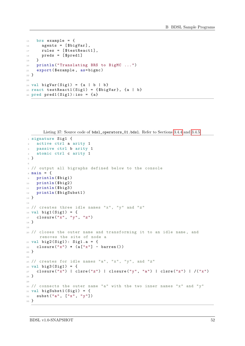```
15 brs example = {
16 agents = [$bigVar],
17 rules = [$testReact1],
18 preds = [$pred1]
19 }
20 println (" Translating BRS to BigMC ...")
21 export ( $example , as= bigmc )
22 }
23_{24} val bigVar (Sig1) = {a | b | b}
25 react testReact1 (Sig1) = {$bigVar}, {a | b}
26 pred pred1 (Sig1): iso = {a}
```
Listing 37: Source code of bdsl\_operators\_01.bdsl. Refer to Sections [3.4.4](#page-24-1) and [3.4.5.](#page-24-0)

```
1 signature Sig1 {
2 active ctrl a arity 1
3 passive ctrl b arity 1
4 atomic ctrl c arity 1
5 }
6
7 // output all bigraphs defined below to the console
s main = {
9 println ($big1)
10 println ($big2)
11 println ($big3)
12 println ($bigSubst1)
13 }
14
15 // creates three idle names "x", "y" and "z"
16 val big1(Sig1) = {
17 closure ("x", "y", "z")
18 }
19
_{20} // closes the outer name and transforming it to an idle name, and
     removes the site of node a
21 val big2(Sig1): Sign.a = \{22 closure ("x") * (a["x"] - barren ())
23 }
24
25 // creates for idle names "a", "x", "y", and "z"
_{26} val big3(Sig1) = {
27 closure ("x") | clsre ("z") | closure ("y", "a") | clsre ("z") | /("x")
28 }
29
30 // connects the outer name "a" with the two inner names "x" and "V"
31 val bigSubst1(Sig1) = {
32 subst ("a", \begin{bmatrix} \n^{\text{u}} \mathbf{x} & \n^{\text{v}} & \n^{\text{v}} \n\end{bmatrix})
33 }
```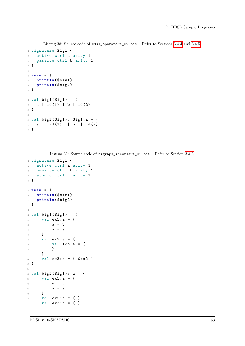```
 3.4.4 3.4.5.
```

```
1 signature Sig1 {
2 active ctrl a arity 1
3 passive ctrl b arity 1
4 }
5
6 main = {
7 println ($big1)
8 println ($big2)
9 }
10
11 val big1(Sig1) = {
12 a | id(1) | b | id(2)
13 }
14
15 val big2(Sig1): Sig1.a = {
16 a || id (1) || b || id (2)
17 }
```
Listing 39: Source code of bigraph\_innerVars\_01.bdsl. Refer to Section [3.4.3.](#page-23-0)

```
1 signature Sig1 {
2 active ctrl a arity 1
3 passive ctrl b arity 1
4 atomic ctrl c arity 1
5 }
6
7 main = {
8 println ($big1)
9 println ($big2)
10 }
11
12 val big1 (Sig1) = {
13 val ex1: a = {
14 a - b
15 a - a
16 }
17 val ex2: a = {
18 val foo: a = {
19 }
20 }
21 val ex3: a = { $ex2 }
22 }
23
_{24} val big2(Sig1): a = {
25 val ex1:a = {
26 a - b
27 a - a
28 }
29 val ex2:b = { }
30 val ex3:c = { }
```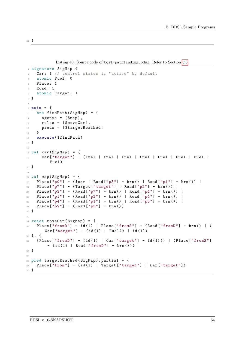}

Listing 40: Source code of bds1-pathfinding.bds1. Refer to Section [5.3.](#page-36-0)

```
1 signature SigMap {
2 Car: 1 // control status is " active " by default
3 atomic Fuel: 0
4 Place: 1
5 Road: 1
6 atomic Target: 1
7 }
8
9 main = {
_{10} brs findPath (SigMap) = {
11 agents = [$map],
12 rules = [$moveCar],
13 preds = [$targetReached]
14 }
15 execute ($findPath)
16 }
17
18 val car(SigMap) = {
19 Car<sup>["target"]</sup> - (Fuel | Fuel | Fuel | Fuel | Fuel | Fuel | Fuel |
         Fuel )
20 }
21
22 val map (SigMap) = {
23 Place ["p0"] - ($car | Road ["p3"] - brn () | Road ["p1"] - brn ()) |
P1ace ["p7"] - (Target ["target"] | Road ["p2"] - brn ()) |
25 Place ["p3"] - ( Road ["p7"] - brn () | Road ["p4"] - brn () ) |
26 Place ["p1"] - (Road ["p2"] - brn () | Road ["p4"] - brn ()) |
27 Place ["p4"] - ( Road ["p1"] - brn() | Road ["p5"] - brn() |
28 Place ["p2"] - (Road ["p5"] - brn())
29 }
20<sup>1</sup>31 react moveCar (SigMap) = {
32 Place ["fromD"] - id(1) | Place ["fromS"] - (Road ["fromD"] - brn() | (
       Car['target"] - (id(1) | Fuel)) | id(1)33 }, {
34 (Place ["fromD"] - (id(1) | Car ["target"] - id(1))) | (Place ["fromS"]
        - (id(1) | Road["fromD"] - brn())35 }
36
37 pred targetReached (SigMap): partial = {
38 Place [" from "] - (id (1) | Target [" target "] | Car[" target "])
39 }
```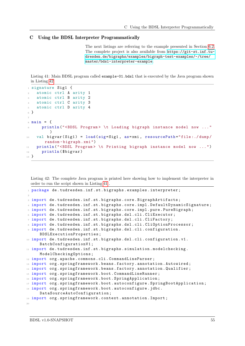### C Using the BDSL Interpreter Programmatically

<span id="page-54-0"></span>The next listings are referring to the example presented in Section [6.2.](#page-43-0) The complete project is also available from [https://git-st.inf.tu](https://git-st.inf.tu-dresden.de/bigraphs/examples/bigraph-test-examples/-/tree/master/bdsl-interpreter-example)[dresden.de/bigraphs/examples/bigraph-test-examples/-/tree/](https://git-st.inf.tu-dresden.de/bigraphs/examples/bigraph-test-examples/-/tree/master/bdsl-interpreter-example) [master/bdsl-interpreter-example](https://git-st.inf.tu-dresden.de/bigraphs/examples/bigraph-test-examples/-/tree/master/bdsl-interpreter-example).

<span id="page-54-2"></span>Listing 41: Main BDSL program called example-01.bdsl that is executed by the Java program shown in Listing [42.](#page-54-1)

```
1 signature Sig1 {
2 atomic ctrl A arity 1
    atomic ctrl B arity 2
    atomic ctrl C arity 3
5 atomic ctrl D arity 4
6 }
7
s main = {
9 println ("<BDSL Program > \t Loading bigraph instance model now ..."
         )
10 val bigvar (Sig1) = load (sig=Sig1, as=xmi, resourcePath="file:./dump/
       random - bigraph .xmi")
11 println ("<BDSL Program > \t Printing bigraph instance model now ...")
12 println ($bigvar)
13 }
```
<span id="page-54-1"></span>Listing 42: The complete Java program is printed here showing how to implement the interpreter in order to run the script shown in Listing [41](#page-54-2) .

```
1 package de.tudresden.inf.st.bigraphs.examples.interpreter;
2
3 import de . tudresden . inf . st . bigraphs . core . BigraphArtifacts ;
4 import de . tudresden . inf . st . bigraphs . core . impl . DefaultDynamicSignature ;
5 import de . tudresden . inf . st . bigraphs . core . impl . pure . PureBigraph ;
6 import de.tudresden.inf.st.bigraphs.dsl.cli.CliExecutor;
7 import de . tudresden . inf . st . bigraphs . dsl . cli . CliFactory ;
8 import de.tudresden.inf.st.bigraphs.dsl.cli.CliOptionProcessor;
9 import de . tudresden . inf . st . bigraphs . dsl . cli . configuration .
     BDSLExecutionProperties ;
10 import de.tudresden.inf.st.bigraphs.dsl.cli.configuration.v1.
     BatchConfigurationV1 ;
11 import de.tudresden.inf.st.bigraphs.simulation.modelchecking.
     ModelCheckingOptions ;
12 import org. apache. commons. cli. CommandLineParser;
13 import org. springframework. beans. factory. annotation. Autowired;
14 import org. springframework. beans. factory. annotation. Qualifier;
15 import org. springframework.boot. CommandLineRunner;
16 import org. springframework. boot. SpringApplication;
17 import org.springframework.boot.autoconfigure.SpringBootApplication;
18 import org. springframework. boot. autoconfigure. jdbc.
     DataSourceAutoConfiguration ;
19 import org . springframework . context . annotation . Import ;
20
```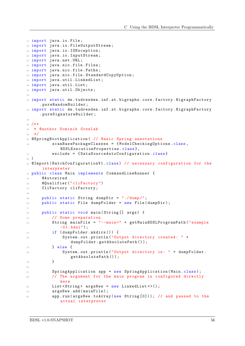```
21 import java . io . File ;
22 import java . io . FileOutputStream ;
23 import java . io . IOException ;
24 import java . io . InputStream ;
25 import java . net . URL ;
26 import java . nio . file . Files ;
27 import java . nio . file . Paths ;
28 import java . nio . file . StandardCopyOption ;
29 import java . util . LinkedList ;
30 import java.util.List;
31 import java.util.Objects;
32
33 import static de.tudresden.inf.st.bigraphs.core.factory.BigraphFactory
     . pureRandomBuilder ;
34 import static de . tudresden . inf . st . bigraphs . core . factory . BigraphFactory
     . pureSignatureBuilder ;
35
36 /**
37 * @author Dominik Grzelak
38 */
39 @SpringBootApplication ( // Basic Spring annotations
40 scanBasePackageClasses = { ModelCheckingOptions .class ,
             BDSLExecutionProperties . class } ,
41 exclude = { DataSourceAutoConfiguration . class }
42 )
43 @Import ( BatchConfigurationV1 . class ) // necessary configuration for the
      interpreter
44 public class Main implements CommandLineRunner {
45 @Autowired
46 @Qualifier (" cliFactory ")
47 CliFactory cliFactory ;
48
49 public static String dumpDir = "./ dump /";
50 public static File dumpFolder = new File (dumpDir);
51
52 public static void main (String [] args) {
53 // Some preparation
54 String mainFile = " --main =" + getMainBDSLProgramPath (" example
             -01. bds1" ;
55 if ( dumpFolder . mkdirs () ) {
56 System . out . println (" Output directory created : " +
                  dumpFolder . getAbsolutePath () ) ;
57 } else {
58 System . out . println (" Output directory is: " + dumpFolder .
                  getAbsolutePath () );
59 }
6061 SpringApplication app = new SpringApplication (Main.class);
62 // The argument for the main program is configured directly
             here
63 List <String > argsNew = new LinkedList <> > < > ();
64 argsNew.add (mainFile);
65 app . run ( argsNew . toArray (new String [0]) ) ; // and passed to the
             actual interpreter
```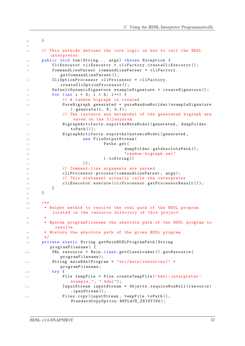```
66 }
67
68 // This methods defines the core logic on how to call the BDSL
        interpreter
69 public void run (String... args) throws Exception {
70 CliExecutor cliExecutor = cliFactory . createCliExecutor () ;
71 CommandLineParser commandLineParser = cliFactory .
            getCommandLineParser () ;
72 CliOptionProcessor cliProcessor = cliFactory .
            createCliOptionProcessor () ;
         DefaultDynamicSignature exampleSignature = createSignature ();
74 for (int i = 0; i < 5; i++) {
75 // A random bigraph is created
76 PureBigraph generated = pureRandomBuilder ( exampleSignature
               ). generate(1, 6, 0.f);77 // The instance and metamodel of the generated bigraph are
                saved on the filesystem
78 BigraphArtifacts . exportAsMetaModel ( generated , dumpFolder .
               toPath () );
79 BigraphArtifacts . exportAsInstanceModel ( generated ,
80 new FileOutputStream (
81 Paths.get (
82 dumpFolder.getAbsolutePath(),
83 "random - bigraph .xmi"
                           ).toString ()
                    ) ) ;
86 // Command-line arguments are parsed ...
87 cliProcessor.process (commandLineParser, args);
88 // This statement actually calls the interpreter
89 cliExecutor.execute (cliProcessor.getProcessorResult ());
90 }
91 \, }
92
93 /**
94 * Helper method to resolve the real path of the BDSL program
         located in the resource directory of this project .
95 *
96 * @param programFilename the absolute path of the BDSL program to
          resolve
97 * @return the absolute path of the given BDSL program
98 */
99 private static String getMainBDSLProgramPath (String
        programFilename ) {
100 URL resource = Main . class . getClassLoader () . getResource (
            programFilename );
101 String mainBdslProgram = "src/main/resources/" +
            programFilename ;
102 try {
103 File tempFile = File . createTempFile ("bdsl-interpreter-
               example_", ".bdsl");
104 InputStream inputStream = Objects . requireNonNull ( resource )
               . openStream () ;
105 Files.copy (inputStream, tempFile.toPath (),
               StandardCopyOption . REPLACE_EXISTING ) ;
```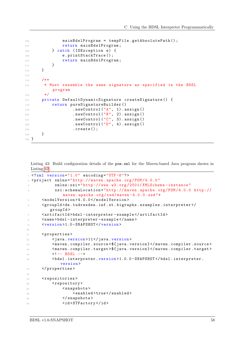```
106 mainBdslProgram = tempFile . getAbsolutePath () ;
107 return mainBdslProgram;
108 } catch (IOException e) {
109 e.printStackTrace ();
110 return mainBdslProgram;
111 }
112 }
113
114 /**
115 * Must resemble the same signature as specified in the BDSL
        program
116 */117 private DefaultDynamicSignature createSignature () {
118 return pureSignatureBuilder ()
119 . newControl ("A", 1) . assign ()
120 . newControl ("B", 2). assign ()
121 . newControl ("C", 3) . assign ()
122 . newControl ("D", 4) . assign ()
123 . create ();
124 }
125 }
```
Listing 43: Build configuration details of the pom.xml for the Maven-based Java program shown in Listing [42.](#page-54-1)

```
1 \leq ? xml version = "1.0" encoding = "UTF - 8"?>
2 < project xmlns =" http: // maven . apache .org/POM /4.0.0 "
3 xmlns:xsi =" http: // www.w3.org /2001/ XMLSchema - instance "
           4 xsi:schemaLocation =" http: // maven . apache .org/POM /4.0.0 http: //
               maven . apache .org/xsd/maven -4.0.0. xsd">
5 < modelVersion > 4.0.0 </ modelVersion >
      6 < groupId > de . tudresden . inf . st . bigraphs . examples . interpreter </
         groupId >
      7 < artifactId > bdsl - interpreter - example </ artifactId >
8 < name >bdsl - interpreter - example </ name >
9 <version > 1.0 - SNAPSHOT </ version >
10
11 <properties>
12 < java. version > 11</ java. version >
13 < maven . compiler . source >${ java . version } </ maven . compiler . source >
14 < maven . compiler . target >${ java . version } </ maven . compiler . target >
15 <!-- BDSL -->
16 < bdsl . interpreter . version > 1.0.0 - SNAPSHOT </ bdsl . interpreter .
              version >
17 </properties>
18
19 <repositories>
20 Crepository
21 <snapshots>
22 < enabled > true </ enabled >
23 </ snapshots >
24 <id>STFactory</id>
```